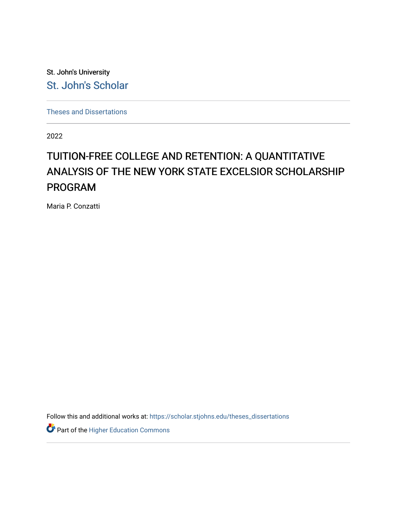St. John's University [St. John's Scholar](https://scholar.stjohns.edu/) 

[Theses and Dissertations](https://scholar.stjohns.edu/theses_dissertations)

2022

## TUITION-FREE COLLEGE AND RETENTION: A QUANTITATIVE ANALYSIS OF THE NEW YORK STATE EXCELSIOR SCHOLARSHIP PROGRAM

Maria P. Conzatti

Follow this and additional works at: [https://scholar.stjohns.edu/theses\\_dissertations](https://scholar.stjohns.edu/theses_dissertations?utm_source=scholar.stjohns.edu%2Ftheses_dissertations%2F422&utm_medium=PDF&utm_campaign=PDFCoverPages)

Part of the [Higher Education Commons](https://network.bepress.com/hgg/discipline/1245?utm_source=scholar.stjohns.edu%2Ftheses_dissertations%2F422&utm_medium=PDF&utm_campaign=PDFCoverPages)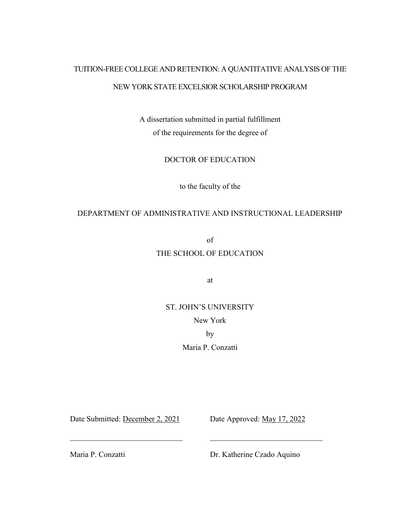# TUITION-FREE COLLEGE AND RETENTION: A QUANTITATIVE ANALYSIS OF THE

## NEW YORK STATE EXCELSIOR SCHOLARSHIP PROGRAM

A dissertation submitted in partial fulfillment of the requirements for the degree of

DOCTOR OF EDUCATION

to the faculty of the

## DEPARTMENT OF ADMINISTRATIVE AND INSTRUCTIONAL LEADERSHIP

of

## THE SCHOOL OF EDUCATION

at

ST. JOHN'S UNIVERSITY New York by

Maria P. Conzatti

 $\mathcal{L}_\text{max}$  , and the contribution of the contribution of the contribution of the contribution of the contribution of the contribution of the contribution of the contribution of the contribution of the contribution of t

Date Submitted: December 2, 2021 Date Approved: May 17, 2022

Maria P. Conzatti Dr. Katherine Czado Aquino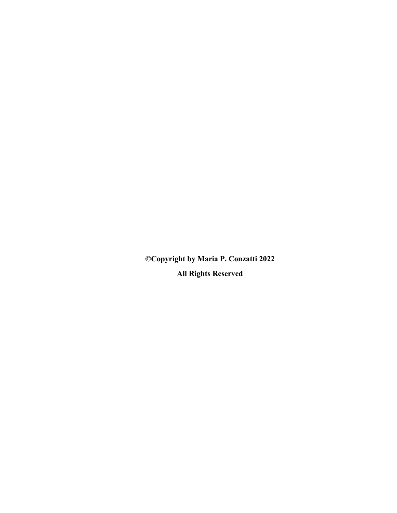**©Copyright by Maria P. Conzatti 2022 All Rights Reserved**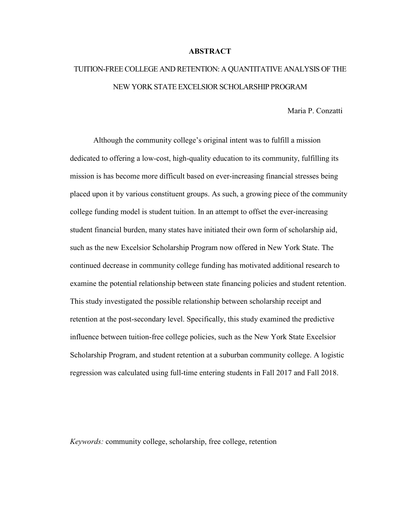#### **ABSTRACT**

## TUITION-FREE COLLEGE AND RETENTION: A QUANTITATIVE ANALYSIS OF THE NEW YORK STATE EXCELSIOR SCHOLARSHIP PROGRAM

Maria P. Conzatti

Although the community college's original intent was to fulfill a mission dedicated to offering a low-cost, high-quality education to its community, fulfilling its mission is has become more difficult based on ever-increasing financial stresses being placed upon it by various constituent groups. As such, a growing piece of the community college funding model is student tuition. In an attempt to offset the ever-increasing student financial burden, many states have initiated their own form of scholarship aid, such as the new Excelsior Scholarship Program now offered in New York State. The continued decrease in community college funding has motivated additional research to examine the potential relationship between state financing policies and student retention. This study investigated the possible relationship between scholarship receipt and retention at the post-secondary level. Specifically, this study examined the predictive influence between tuition-free college policies, such as the New York State Excelsior Scholarship Program, and student retention at a suburban community college. A logistic regression was calculated using full-time entering students in Fall 2017 and Fall 2018.

*Keywords:* community college, scholarship, free college, retention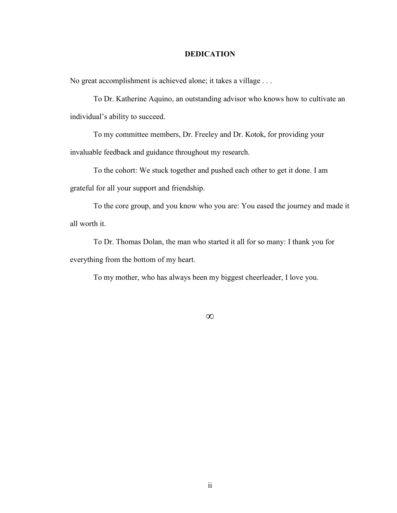## **DEDICATION**

No great accomplishment is achieved alone; it takes a village . . .

To Dr. Katherine Aquino, an outstanding advisor who knows how to cultivate an individual's ability to succeed.

To my committee members, Dr. Freeley and Dr. Kotok, for providing your invaluable feedback and guidance throughout my research.

To the cohort: We stuck together and pushed each other to get it done. I am grateful for all your support and friendship.

To the core group, and you know who you are: You eased the journey and made it all worth it.

To Dr. Thomas Dolan, the man who started it all for so many: I thank you for everything from the bottom of my heart.

To my mother, who has always been my biggest cheerleader, I love you.

**∞**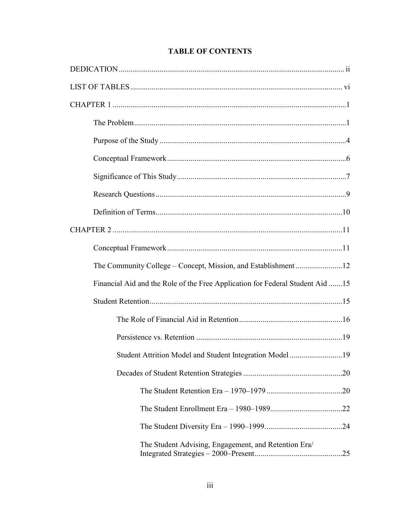| The Community College - Concept, Mission, and Establishment12                 |  |
|-------------------------------------------------------------------------------|--|
| Financial Aid and the Role of the Free Application for Federal Student Aid 15 |  |
|                                                                               |  |
|                                                                               |  |
|                                                                               |  |
| Student Attrition Model and Student Integration Model 19                      |  |
|                                                                               |  |
|                                                                               |  |
|                                                                               |  |
|                                                                               |  |
| The Student Advising, Engagement, and Retention Era/                          |  |

## **TABLE OF CONTENTS**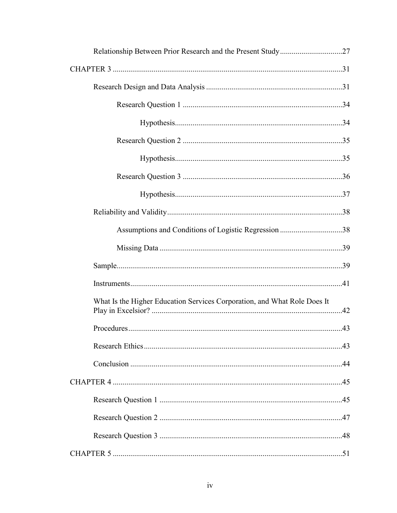| Assumptions and Conditions of Logistic Regression 38                     |  |
|--------------------------------------------------------------------------|--|
|                                                                          |  |
|                                                                          |  |
|                                                                          |  |
| What Is the Higher Education Services Corporation, and What Role Does It |  |
|                                                                          |  |
|                                                                          |  |
|                                                                          |  |
|                                                                          |  |
|                                                                          |  |
|                                                                          |  |
|                                                                          |  |
|                                                                          |  |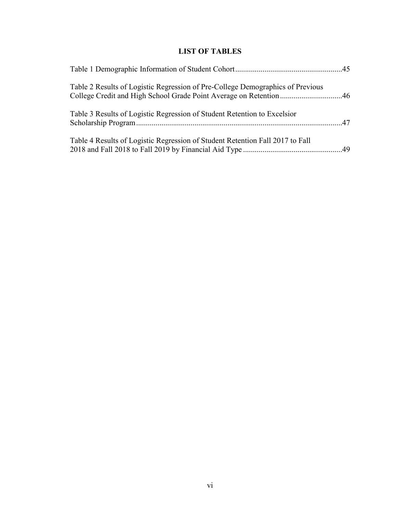## **LIST OF TABLES**

| Table 2 Results of Logistic Regression of Pre-College Demographics of Previous |  |
|--------------------------------------------------------------------------------|--|
| Table 3 Results of Logistic Regression of Student Retention to Excelsion       |  |
| Table 4 Results of Logistic Regression of Student Retention Fall 2017 to Fall  |  |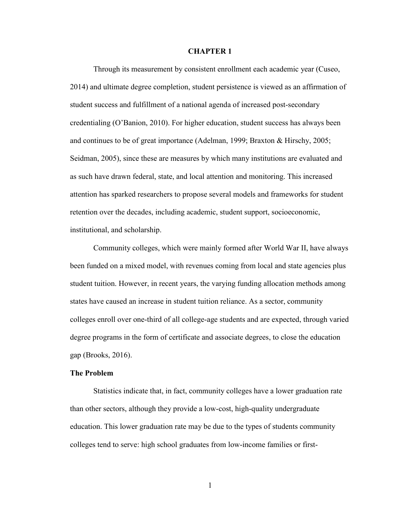## **CHAPTER 1**

Through its measurement by consistent enrollment each academic year (Cuseo, 2014) and ultimate degree completion, student persistence is viewed as an affirmation of student success and fulfillment of a national agenda of increased post-secondary credentialing (O'Banion, 2010). For higher education, student success has always been and continues to be of great importance (Adelman, 1999; Braxton & Hirschy, 2005; Seidman, 2005), since these are measures by which many institutions are evaluated and as such have drawn federal, state, and local attention and monitoring. This increased attention has sparked researchers to propose several models and frameworks for student retention over the decades, including academic, student support, socioeconomic, institutional, and scholarship.

Community colleges, which were mainly formed after World War II, have always been funded on a mixed model, with revenues coming from local and state agencies plus student tuition. However, in recent years, the varying funding allocation methods among states have caused an increase in student tuition reliance. As a sector, community colleges enroll over one-third of all college-age students and are expected, through varied degree programs in the form of certificate and associate degrees, to close the education gap (Brooks, 2016).

## **The Problem**

Statistics indicate that, in fact, community colleges have a lower graduation rate than other sectors, although they provide a low-cost, high-quality undergraduate education. This lower graduation rate may be due to the types of students community colleges tend to serve: high school graduates from [low-income](https://www.communitycollegereview.com/blog/single-parents-find-special-financial-support-at-community-colleges) families or first-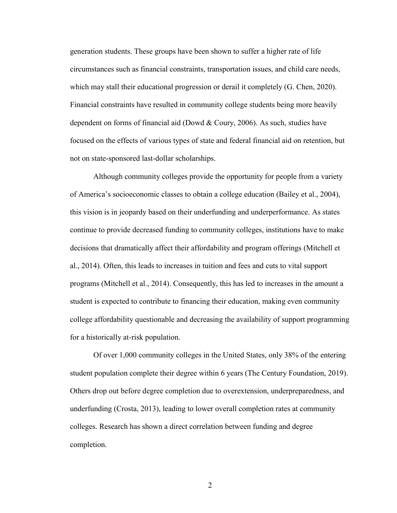generation students. These groups have been shown to suffer a higher rate of life circumstances such as financial constraints, transportation issues, and child care [needs,](https://www.communitycollegereview.com/blog/finding-childcare-on-community-college-campuses) which may stall their educational progression or derail it completely (G. Chen, 2020). Financial constraints have resulted in community college students being more heavily dependent on forms of financial aid (Dowd & Coury, 2006). As such, studies have focused on the effects of various types of state and federal financial aid on retention, but not on state-sponsored last-dollar scholarships.

Although community colleges provide the opportunity for people from a variety of America's socioeconomic classes to obtain a college education (Bailey et al., 2004), this vision is in jeopardy based on their underfunding and underperformance. As states continue to provide decreased funding to community colleges, institutions have to make decisions that dramatically affect their affordability and program offerings (Mitchell et al., 2014). Often, this leads to increases in tuition and fees and cuts to vital support programs (Mitchell et al., 2014). Consequently, this has led to increases in the amount a student is expected to contribute to financing their education, making even community college affordability questionable and decreasing the availability of support programming for a historically at-risk population.

Of over 1,000 community colleges in the United States, only 38% of the entering student population complete their degree within 6 years (The Century Foundation, 2019). Others drop out before degree completion due to overextension, underpreparedness, and underfunding (Crosta, 2013), leading to lower overall completion rates at community colleges. Research has shown a direct correlation between funding and degree completion.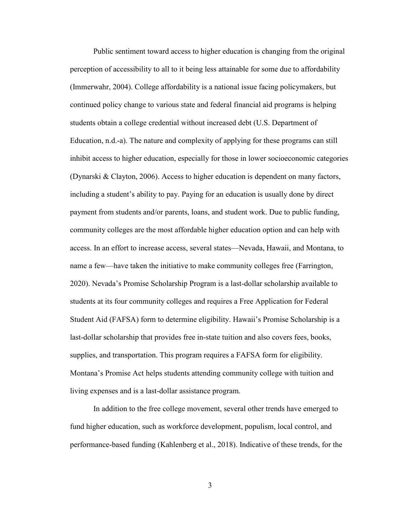Public sentiment toward access to higher education is changing from the original perception of accessibility to all to it being less attainable for some due to affordability (Immerwahr, 2004). College affordability is a national issue facing policymakers, but continued policy change to various state and federal financial aid programs is helping students obtain a college credential without increased debt (U.S. Department of Education, n.d.-a). The nature and complexity of applying for these programs can still inhibit access to higher education, especially for those in lower socioeconomic categories (Dynarski & Clayton, 2006). Access to higher education is dependent on many factors, including a student's ability to pay. Paying for an education is usually done by direct payment from students and/or parents, loans, and student work. Due to public funding, community colleges are the most affordable higher education option and can help with access. In an effort to increase access, several states—Nevada, Hawaii, and Montana, to name a few—have taken the initiative to make community colleges free (Farrington, 2020). Nevada's Promise Scholarship Program is a last-dollar scholarship available to students at its four community colleges and requires a Free Application for Federal Student Aid (FAFSA) form to determine eligibility. Hawaii's Promise Scholarship is a last-dollar scholarship that provides free in-state tuition and also covers fees, books, supplies, and transportation. This program requires a FAFSA form for eligibility. Montana's Promise Act helps students attending community college with tuition and living expenses and is a last-dollar assistance program.

In addition to the free college movement, several other trends have emerged to fund higher education, such as workforce development, populism, local control, and performance-based funding (Kahlenberg et al., 2018). Indicative of these trends, for the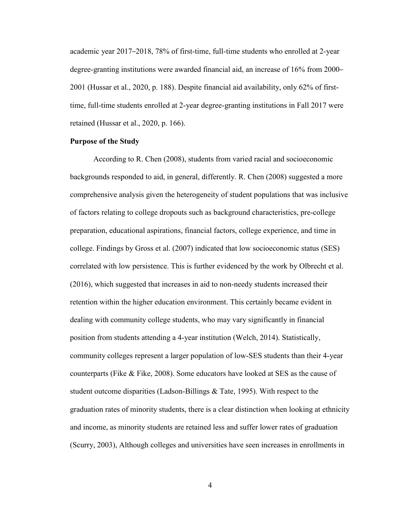academic year 2017–2018, 78% of first-time, full-time students who enrolled at 2-year degree-granting institutions were awarded financial aid, an increase of 16% from 2000– 2001 (Hussar et al., 2020, p. 188). Despite financial aid availability, only 62% of firsttime, full-time students enrolled at 2-year degree-granting institutions in Fall 2017 were retained (Hussar et al., 2020, p. 166).

## **Purpose of the Study**

According to R. Chen (2008), students from varied racial and socioeconomic backgrounds responded to aid, in general, differently. R. Chen (2008) suggested a more comprehensive analysis given the heterogeneity of student populations that was inclusive of factors relating to college dropouts such as background characteristics, pre-college preparation, educational aspirations, financial factors, college experience, and time in college. Findings by Gross et al. (2007) indicated that low socioeconomic status (SES) correlated with low persistence. This is further evidenced by the work by Olbrecht et al. (2016), which suggested that increases in aid to non-needy students increased their retention within the higher education environment. This certainly became evident in dealing with community college students, who may vary significantly in financial position from students attending a 4-year institution (Welch, 2014). Statistically, community colleges represent a larger population of low-SES students than their 4-year counterparts (Fike & Fike, 2008). Some educators have looked at SES as the cause of student outcome disparities (Ladson-Billings & Tate, 1995). With respect to the graduation rates of minority students, there is a clear distinction when looking at ethnicity and income, as minority students are retained less and suffer lower rates of graduation (Scurry, 2003), Although colleges and universities have seen increases in enrollments in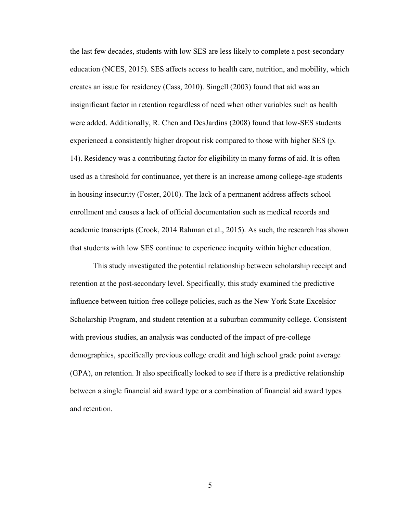the last few decades, students with low SES are less likely to complete a post-secondary education (NCES, 2015). SES affects access to health care, nutrition, and mobility, which creates an issue for residency (Cass, 2010). Singell (2003) found that aid was an insignificant factor in retention regardless of need when other variables such as health were added. Additionally, R. Chen and DesJardins (2008) found that low-SES students experienced a consistently higher dropout risk compared to those with higher SES (p. 14). Residency was a contributing factor for eligibility in many forms of aid. It is often used as a threshold for continuance, yet there is an increase among college-age students in housing insecurity (Foster, 2010). The lack of a permanent address affects school enrollment and causes a lack of official documentation such as medical records and academic transcripts (Crook, 2014 Rahman et al., 2015). As such, the research has shown that students with low SES continue to experience inequity within higher education.

This study investigated the potential relationship between scholarship receipt and retention at the post-secondary level. Specifically, this study examined the predictive influence between tuition-free college policies, such as the New York State Excelsior Scholarship Program, and student retention at a suburban community college. Consistent with previous studies, an analysis was conducted of the impact of pre-college demographics, specifically previous college credit and high school grade point average (GPA), on retention. It also specifically looked to see if there is a predictive relationship between a single financial aid award type or a combination of financial aid award types and retention.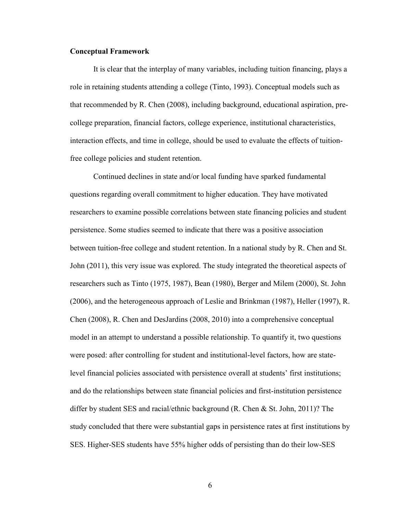## **Conceptual Framework**

It is clear that the interplay of many variables, including tuition financing, plays a role in retaining students attending a college (Tinto, 1993). Conceptual models such as that recommended by R. Chen (2008), including background, educational aspiration, precollege preparation, financial factors, college experience, institutional characteristics, interaction effects, and time in college, should be used to evaluate the effects of tuitionfree college policies and student retention.

Continued declines in state and/or local funding have sparked fundamental questions regarding overall commitment to higher education. They have motivated researchers to examine possible correlations between state financing policies and student persistence. Some studies seemed to indicate that there was a positive association between tuition-free college and student retention. In a national study by R. Chen and St. John (2011), this very issue was explored. The study integrated the theoretical aspects of researchers such as Tinto (1975, 1987), Bean (1980), Berger and Milem (2000), St. John (2006), and the heterogeneous approach of Leslie and Brinkman (1987), Heller (1997), R. Chen (2008), R. Chen and DesJardins (2008, 2010) into a comprehensive conceptual model in an attempt to understand a possible relationship. To quantify it, two questions were posed: after controlling for student and institutional-level factors, how are statelevel financial policies associated with persistence overall at students' first institutions; and do the relationships between state financial policies and first-institution persistence differ by student SES and racial/ethnic background (R. Chen & St. John, 2011)? The study concluded that there were substantial gaps in persistence rates at first institutions by SES. Higher-SES students have 55% higher odds of persisting than do their low-SES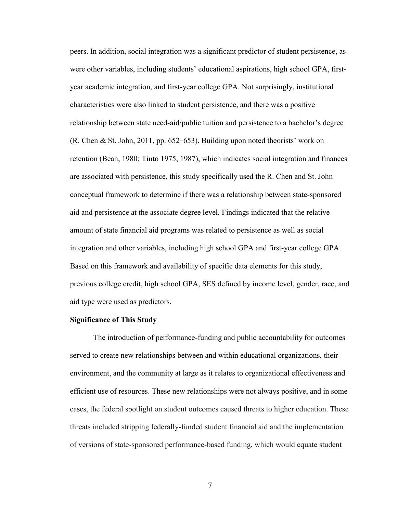peers. In addition, social integration was a significant predictor of student persistence, as were other variables, including students' educational aspirations, high school GPA, firstyear academic integration, and first-year college GPA. Not surprisingly, institutional characteristics were also linked to student persistence, and there was a positive relationship between state need-aid/public tuition and persistence to a bachelor's degree (R. Chen & St. John, 2011, pp. 652–653). Building upon noted theorists' work on retention (Bean, 1980; Tinto 1975, 1987), which indicates social integration and finances are associated with persistence, this study specifically used the R. Chen and St. John conceptual framework to determine if there was a relationship between state-sponsored aid and persistence at the associate degree level. Findings indicated that the relative amount of state financial aid programs was related to persistence as well as social integration and other variables, including high school GPA and first-year college GPA. Based on this framework and availability of specific data elements for this study, previous college credit, high school GPA, SES defined by income level, gender, race, and aid type were used as predictors.

#### **Significance of This Study**

The introduction of performance-funding and public accountability for outcomes served to create new relationships between and within educational organizations, their environment, and the community at large as it relates to organizational effectiveness and efficient use of resources. These new relationships were not always positive, and in some cases, the federal spotlight on student outcomes caused threats to higher education. These threats included stripping federally-funded student financial aid and the implementation of versions of state-sponsored performance-based funding, which would equate student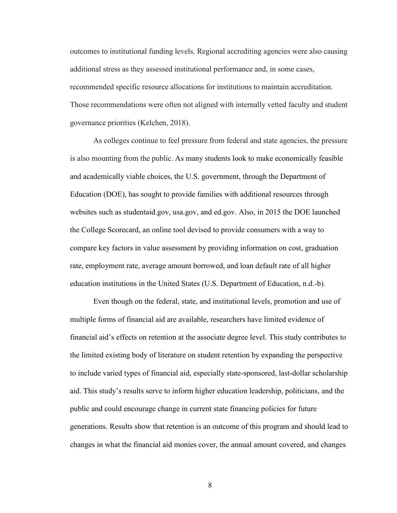outcomes to institutional funding levels. Regional accrediting agencies were also causing additional stress as they assessed institutional performance and, in some cases, recommended specific resource allocations for institutions to maintain accreditation. Those recommendations were often not aligned with internally vetted faculty and student governance priorities (Kelchen, 2018).

As colleges continue to feel pressure from federal and state agencies, the pressure is also mounting from the public. As many students look to make economically feasible and academically viable choices, the U.S. government, through the Department of Education (DOE), has sought to provide families with additional resources through websites such as studentaid.gov, usa.gov, and ed.gov. Also, in 2015 the DOE launched the College Scorecard, an online tool devised to provide consumers with a way to compare key factors in value assessment by providing information on cost, graduation rate, employment rate, average amount borrowed, and loan default rate of all higher education institutions in the United States (U.S. Department of Education, n.d.-b).

Even though on the federal, state, and institutional levels, promotion and use of multiple forms of financial aid are available, researchers have limited evidence of financial aid's effects on retention at the associate degree level. This study contributes to the limited existing body of literature on student retention by expanding the perspective to include varied types of financial aid, especially state-sponsored, last-dollar scholarship aid. This study's results serve to inform higher education leadership, politicians, and the public and could encourage change in current state financing policies for future generations. Results show that retention is an outcome of this program and should lead to changes in what the financial aid monies cover, the annual amount covered, and changes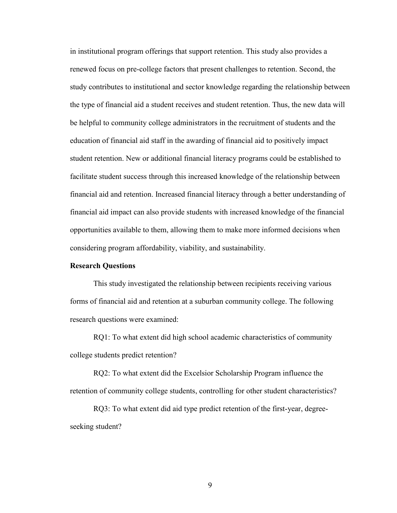in institutional program offerings that support retention. This study also provides a renewed focus on pre-college factors that present challenges to retention. Second, the study contributes to institutional and sector knowledge regarding the relationship between the type of financial aid a student receives and student retention. Thus, the new data will be helpful to community college administrators in the recruitment of students and the education of financial aid staff in the awarding of financial aid to positively impact student retention. New or additional financial literacy programs could be established to facilitate student success through this increased knowledge of the relationship between financial aid and retention. Increased financial literacy through a better understanding of financial aid impact can also provide students with increased knowledge of the financial opportunities available to them, allowing them to make more informed decisions when considering program affordability, viability, and sustainability.

## **Research Questions**

This study investigated the relationship between recipients receiving various forms of financial aid and retention at a suburban community college. The following research questions were examined:

RQ1: To what extent did high school academic characteristics of community college students predict retention?

RQ2: To what extent did the Excelsior Scholarship Program influence the retention of community college students, controlling for other student characteristics?

RQ3: To what extent did aid type predict retention of the first-year, degreeseeking student?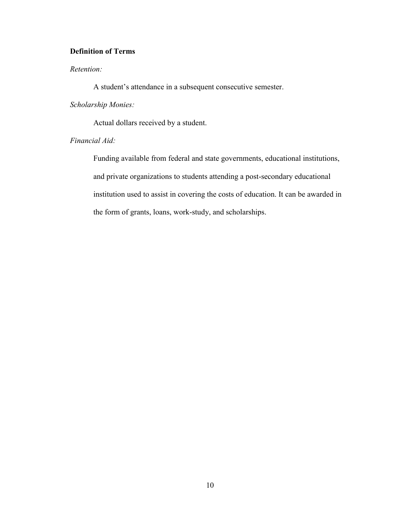## **Definition of Terms**

## *Retention:*

A student's attendance in a subsequent consecutive semester.

## *Scholarship Monies:*

Actual dollars received by a student.

## *Financial Aid:*

Funding available from federal and state governments, educational institutions, and private organizations to students attending a [post-secondary educational](https://en.wikipedia.org/wiki/Higher_education_in_the_United_States)  [institution](https://en.wikipedia.org/wiki/Higher_education_in_the_United_States) used to assist in covering the costs of education. It can be awarded in the form of grants, loans, [work-study,](https://en.wikipedia.org/wiki/Federal_Work-Study_Program) and scholarships.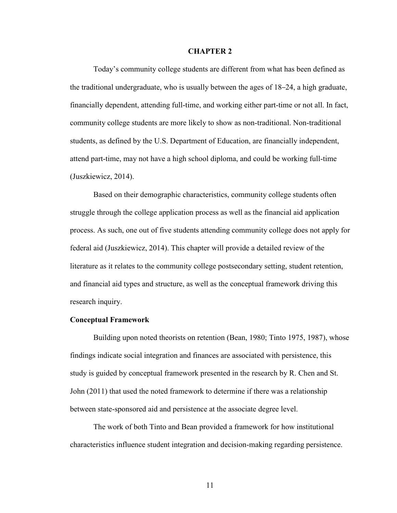#### **CHAPTER 2**

Today's community college students are different from what has been defined as the traditional undergraduate, who is usually between the ages of 18–24, a high graduate, financially dependent, attending full-time, and working either part-time or not all. In fact, community college students are more likely to show as non-traditional. Non-traditional students, as defined by the U.S. Department of Education, are financially independent, attend part-time, may not have a high school diploma, and could be working full-time (Juszkiewicz, 2014).

Based on their demographic characteristics, community college students often struggle through the college application process as well as the financial aid application process. As such, one out of five students attending community college does not apply for federal aid (Juszkiewicz, 2014). This chapter will provide a detailed review of the literature as it relates to the community college postsecondary setting, student retention, and financial aid types and structure, as well as the conceptual framework driving this research inquiry.

#### **Conceptual Framework**

Building upon noted theorists on retention (Bean, 1980; Tinto 1975, 1987), whose findings indicate social integration and finances are associated with persistence, this study is guided by conceptual framework presented in the research by R. Chen and St. John (2011) that used the noted framework to determine if there was a relationship between state-sponsored aid and persistence at the associate degree level.

The work of both Tinto and Bean provided a framework for how institutional characteristics influence student integration and decision-making regarding persistence.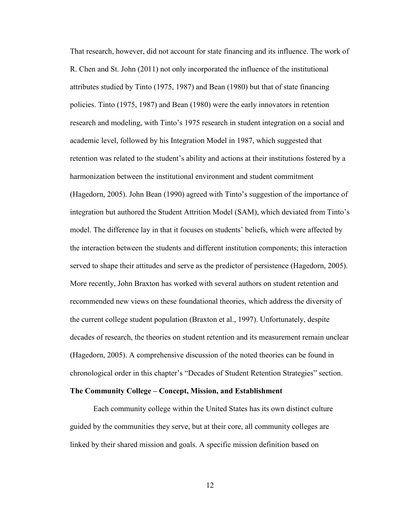That research, however, did not account for state financing and its influence. The work of R. Chen and St. John (2011) not only incorporated the influence of the institutional attributes studied by Tinto (1975, 1987) and Bean (1980) but that of state financing policies. Tinto (1975, 1987) and Bean (1980) were the early innovators in retention research and modeling, with Tinto's 1975 research in student integration on a social and academic level, followed by his Integration Model in 1987, which suggested that retention was related to the student's ability and actions at their institutions fostered by a harmonization between the institutional environment and student commitment (Hagedorn, 2005). John Bean (1990) agreed with Tinto's suggestion of the importance of integration but authored the Student Attrition Model (SAM), which deviated from Tinto's model. The difference lay in that it focuses on students' beliefs, which were affected by the interaction between the students and different institution components; this interaction served to shape their attitudes and serve as the predictor of persistence (Hagedorn, 2005). More recently, John Braxton has worked with several authors on student retention and recommended new views on these foundational theories, which address the diversity of the current college student population (Braxton et al., 1997). Unfortunately, despite decades of research, the theories on student retention and its measurement remain unclear (Hagedorn, 2005). A comprehensive discussion of the noted theories can be found in chronological order in this chapter's "Decades of Student Retention Strategies" section.

#### **The Community College – Concept, Mission, and Establishment**

Each community college within the United States has its own distinct culture guided by the communities they serve, but at their core, all community colleges are linked by their shared mission and goals. A specific mission definition based on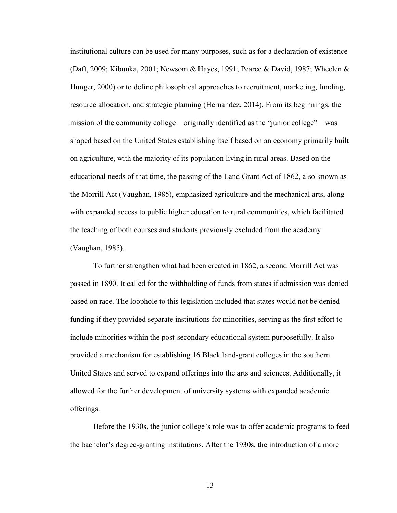institutional culture can be used for many purposes, such as for a declaration of existence (Daft, 2009; Kibuuka, 2001; Newsom & Hayes, 1991; Pearce & David, 1987; Wheelen & Hunger, 2000) or to define philosophical approaches to recruitment, marketing, funding, resource allocation, and strategic planning (Hernandez, 2014). From its beginnings, the mission of the community college—originally identified as the "junior college"—was shaped based on the United States establishing itself based on an economy primarily built on agriculture, with the majority of its population living in rural areas. Based on the educational needs of that time, the passing of the Land Grant Act of 1862, also known as the Morrill Act (Vaughan, 1985), emphasized agriculture and the mechanical arts, along with expanded access to public higher education to rural communities, which facilitated the teaching of both courses and students previously excluded from the academy (Vaughan, 1985).

To further strengthen what had been created in 1862, a second Morrill Act was passed in 1890. It called for the withholding of funds from states if admission was denied based on race. The loophole to this legislation included that states would not be denied funding if they provided separate institutions for minorities, serving as the first effort to include minorities within the post-secondary educational system purposefully. It also provided a mechanism for establishing 16 Black land-grant colleges in the southern United States and served to expand offerings into the arts and sciences. Additionally, it allowed for the further development of university systems with expanded academic offerings.

Before the 1930s, the junior college's role was to offer academic programs to feed the bachelor's degree-granting institutions. After the 1930s, the introduction of a more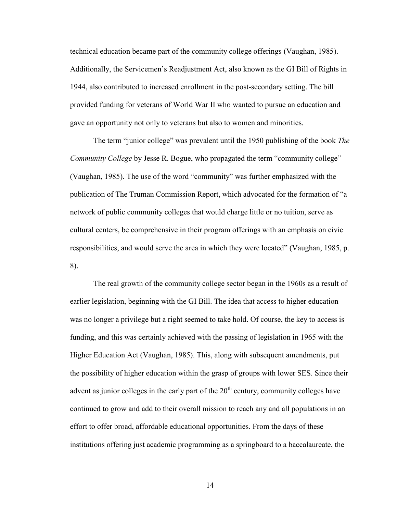technical education became part of the community college offerings (Vaughan, 1985). Additionally, the Servicemen's Readjustment Act, also known as the GI Bill of Rights in 1944, also contributed to increased enrollment in the post-secondary setting. The bill provided funding for veterans of World War II who wanted to pursue an education and gave an opportunity not only to veterans but also to women and minorities.

The term "junior college" was prevalent until the 1950 publishing of the book *The Community College* by Jesse R. Bogue, who propagated the term "community college" (Vaughan, 1985). The use of the word "community" was further emphasized with the publication of The Truman Commission Report, which advocated for the formation of "a network of public community colleges that would charge little or no tuition, serve as cultural centers, be comprehensive in their program offerings with an emphasis on civic responsibilities, and would serve the area in which they were located" (Vaughan, 1985, p. 8).

The real growth of the community college sector began in the 1960s as a result of earlier legislation, beginning with the GI Bill. The idea that access to higher education was no longer a privilege but a right seemed to take hold. Of course, the key to access is funding, and this was certainly achieved with the passing of legislation in 1965 with the Higher Education Act (Vaughan, 1985). This, along with subsequent amendments, put the possibility of higher education within the grasp of groups with lower SES. Since their advent as junior colleges in the early part of the  $20<sup>th</sup>$  century, community colleges have continued to grow and add to their overall mission to reach any and all populations in an effort to offer broad, affordable educational opportunities. From the days of these institutions offering just academic programming as a springboard to a baccalaureate, the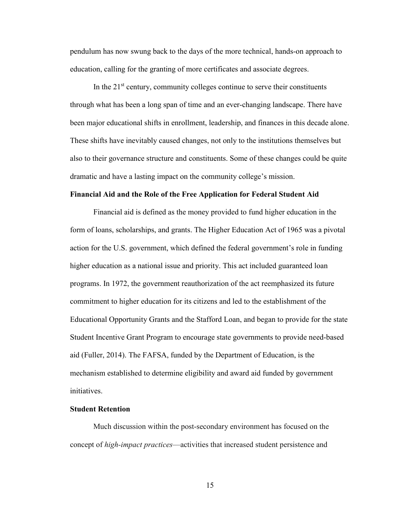pendulum has now swung back to the days of the more technical, hands-on approach to education, calling for the granting of more certificates and associate degrees.

In the  $21<sup>st</sup>$  century, community colleges continue to serve their constituents through what has been a long span of time and an ever-changing landscape. There have been major educational shifts in enrollment, leadership, and finances in this decade alone. These shifts have inevitably caused changes, not only to the institutions themselves but also to their governance structure and constituents. Some of these changes could be quite dramatic and have a lasting impact on the community college's mission.

#### **Financial Aid and the Role of the Free Application for Federal Student Aid**

Financial aid is defined as the money provided to fund higher education in the form of loans, scholarships, and grants. The Higher Education Act of 1965 was a pivotal action for the U.S. government, which defined the federal government's role in funding higher education as a national issue and priority. This act included guaranteed loan programs. In 1972, the government reauthorization of the act reemphasized its future commitment to higher education for its citizens and led to the establishment of the Educational Opportunity Grants and the Stafford Loan, and began to provide for the state Student Incentive Grant Program to encourage state governments to provide need-based aid (Fuller, 2014). The FAFSA, funded by the Department of Education, is the mechanism established to determine eligibility and award aid funded by government initiatives.

#### **Student Retention**

Much discussion within the post-secondary environment has focused on the concept of *high-impact practices*—activities that increased student persistence and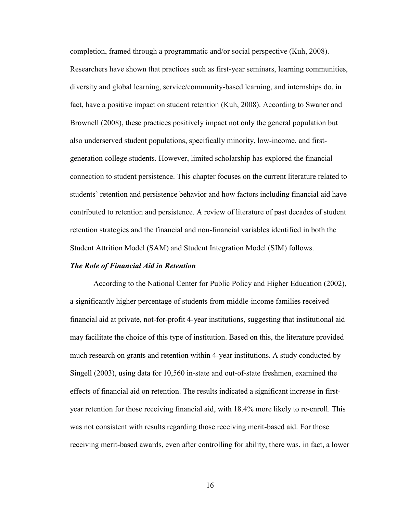completion, framed through a programmatic and/or social perspective (Kuh, 2008). Researchers have shown that practices such as first-year seminars, learning communities, diversity and global learning, service/community-based learning, and internships do, in fact, have a positive impact on student retention (Kuh, 2008). According to Swaner and Brownell (2008), these practices positively impact not only the general population but also underserved student populations, specifically minority, low-income, and firstgeneration college students. However, limited scholarship has explored the financial connection to student persistence. This chapter focuses on the current literature related to students' retention and persistence behavior and how factors including financial aid have contributed to retention and persistence. A review of literature of past decades of student retention strategies and the financial and non-financial variables identified in both the Student Attrition Model (SAM) and Student Integration Model (SIM) follows.

## *The Role of Financial Aid in Retention*

According to the National Center for Public Policy and Higher Education (2002), a significantly higher percentage of students from middle-income families received financial aid at private, not-for-profit 4-year institutions, suggesting that institutional aid may facilitate the choice of this type of institution. Based on this, the literature provided much research on grants and retention within 4-year institutions. A study conducted by Singell (2003), using data for 10,560 in-state and out-of-state freshmen, examined the effects of financial aid on retention. The results indicated a significant increase in firstyear retention for those receiving financial aid, with 18.4% more likely to re-enroll. This was not consistent with results regarding those receiving merit-based aid. For those receiving merit-based awards, even after controlling for ability, there was, in fact, a lower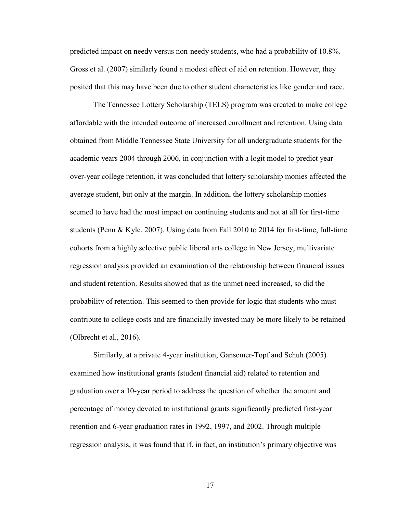predicted impact on needy versus non-needy students, who had a probability of 10.8%. Gross et al. (2007) similarly found a modest effect of aid on retention. However, they posited that this may have been due to other student characteristics like gender and race.

The Tennessee Lottery Scholarship (TELS) program was created to make college affordable with the intended outcome of increased enrollment and retention. Using data obtained from Middle Tennessee State University for all undergraduate students for the academic years 2004 through 2006, in conjunction with a logit model to predict yearover-year college retention, it was concluded that lottery scholarship monies affected the average student, but only at the margin. In addition, the lottery scholarship monies seemed to have had the most impact on continuing students and not at all for first-time students (Penn & Kyle, 2007). Using data from Fall 2010 to 2014 for first-time, full-time cohorts from a highly selective public liberal arts college in New Jersey, multivariate regression analysis provided an examination of the relationship between financial issues and student retention. Results showed that as the unmet need increased, so did the probability of retention. This seemed to then provide for logic that students who must contribute to college costs and are financially invested may be more likely to be retained (Olbrecht et al., 2016).

Similarly, at a private 4-year institution, Gansemer-Topf and Schuh (2005) examined how institutional grants (student financial aid) related to retention and graduation over a 10-year period to address the question of whether the amount and percentage of money devoted to institutional grants significantly predicted first-year retention and 6-year graduation rates in 1992, 1997, and 2002. Through multiple regression analysis, it was found that if, in fact, an institution's primary objective was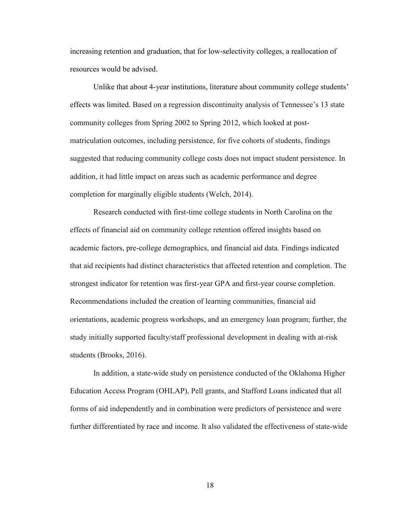increasing retention and graduation, that for low-selectivity colleges, a reallocation of resources would be advised.

Unlike that about 4-year institutions, literature about community college students' effects was limited. Based on a regression discontinuity analysis of Tennessee's 13 state community colleges from Spring 2002 to Spring 2012, which looked at postmatriculation outcomes, including persistence, for five cohorts of students, findings suggested that reducing community college costs does not impact student persistence. In addition, it had little impact on areas such as academic performance and degree completion for marginally eligible students (Welch, 2014).

Research conducted with first-time college students in North Carolina on the effects of financial aid on community college retention offered insights based on academic factors, pre-college demographics, and financial aid data. Findings indicated that aid recipients had distinct characteristics that affected retention and completion. The strongest indicator for retention was first-year GPA and first-year course completion. Recommendations included the creation of learning communities, financial aid orientations, academic progress workshops, and an emergency loan program; further, the study initially supported faculty/staff professional development in dealing with at-risk students (Brooks, 2016).

In addition, a state-wide study on persistence conducted of the Oklahoma Higher Education Access Program (OHLAP), Pell grants, and Stafford Loans indicated that all forms of aid independently and in combination were predictors of persistence and were further differentiated by race and income. It also validated the effectiveness of state-wide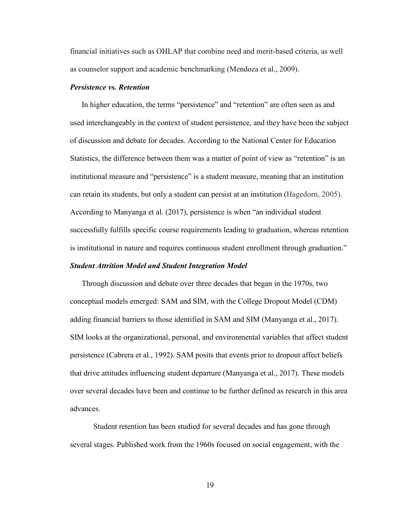financial initiatives such as OHLAP that combine need and merit-based criteria, as well as counselor support and academic benchmarking (Mendoza et al., 2009).

## *Persistence vs. Retention*

In higher education, the terms "persistence" and "retention" are often seen as and used interchangeably in the context of student persistence, and they have been the subject of discussion and debate for decades. According to the National Center for Education Statistics, the difference between them was a matter of point of view as "retention" is an institutional measure and "persistence" is a student measure, meaning that an institution can retain its students, but only a student can persist at an institution (Hagedorn, 2005). According to Manyanga et al. (2017), persistence is when "an individual student successfully fulfills specific course requirements leading to graduation, whereas retention is institutional in nature and requires continuous student enrollment through graduation."

## *Student Attrition Model and Student Integration Model*

Through discussion and debate over three decades that began in the 1970s, two conceptual models emerged: SAM and SIM, with the College Dropout Model (CDM) adding financial barriers to those identified in SAM and SIM (Manyanga et al., 2017). SIM looks at the organizational, personal, and environmental variables that affect student persistence (Cabrera et al., 1992). SAM posits that events prior to dropout affect beliefs that drive attitudes influencing student departure (Manyanga et al., 2017). These models over several decades have been and continue to be further defined as research in this area advances.

Student retention has been studied for several decades and has gone through several stages. Published work from the 1960s focused on social engagement, with the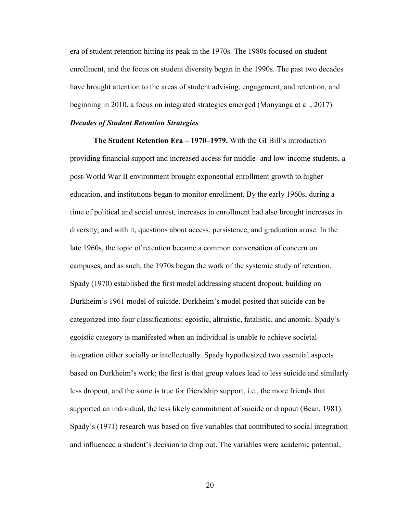era of student retention hitting its peak in the 1970s. The 1980s focused on student enrollment, and the focus on student diversity began in the 1990s. The past two decades have brought attention to the areas of student advising, engagement, and retention, and beginning in 2010, a focus on integrated strategies emerged (Manyanga et al., 2017).

#### *Decades of Student Retention Strategies*

**The Student Retention Era – 1970–1979.** With the GI Bill's introduction providing financial support and increased access for middle- and low-income students, a post-World War II environment brought exponential enrollment growth to higher education, and institutions began to monitor enrollment. By the early 1960s, during a time of political and social unrest, increases in enrollment had also brought increases in diversity, and with it, questions about access, persistence, and graduation arose. In the late 1960s, the topic of retention became a common conversation of concern on campuses, and as such, the 1970s began the work of the systemic study of retention. Spady (1970) established the first model addressing student dropout, building on Durkheim's 1961 model of suicide. Durkheim's model posited that suicide can be categorized into four classifications: egoistic, altruistic, fatalistic, and anomic. Spady's egoistic category is manifested when an individual is unable to achieve societal integration either socially or intellectually. Spady hypothesized two essential aspects based on Durkheim's work; the first is that group values lead to less suicide and similarly less dropout, and the same is true for friendship support, i.e., the more friends that supported an individual, the less likely commitment of suicide or dropout (Bean, 1981). Spady's (1971) research was based on five variables that contributed to social integration and influenced a student's decision to drop out. The variables were academic potential,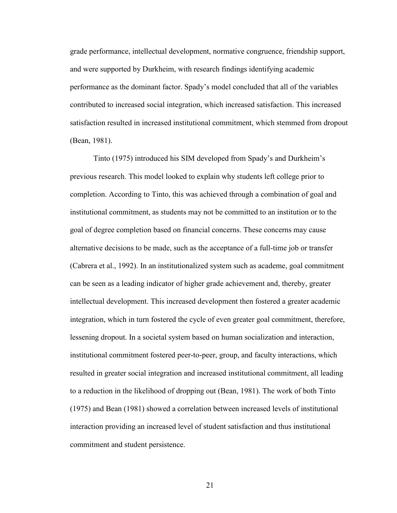grade performance, intellectual development, normative congruence, friendship support, and were supported by Durkheim, with research findings identifying academic performance as the dominant factor. Spady's model concluded that all of the variables contributed to increased social integration, which increased satisfaction. This increased satisfaction resulted in increased institutional commitment, which stemmed from dropout (Bean, 1981).

Tinto (1975) introduced his SIM developed from Spady's and Durkheim's previous research. This model looked to explain why students left college prior to completion. According to Tinto, this was achieved through a combination of goal and institutional commitment, as students may not be committed to an institution or to the goal of degree completion based on financial concerns. These concerns may cause alternative decisions to be made, such as the acceptance of a full-time job or transfer (Cabrera et al., 1992). In an institutionalized system such as academe, goal commitment can be seen as a leading indicator of higher grade achievement and, thereby, greater intellectual development. This increased development then fostered a greater academic integration, which in turn fostered the cycle of even greater goal commitment, therefore, lessening dropout. In a societal system based on human socialization and interaction, institutional commitment fostered peer-to-peer, group, and faculty interactions, which resulted in greater social integration and increased institutional commitment, all leading to a reduction in the likelihood of dropping out (Bean, 1981). The work of both Tinto (1975) and Bean (1981) showed a correlation between increased levels of institutional interaction providing an increased level of student satisfaction and thus institutional commitment and student persistence.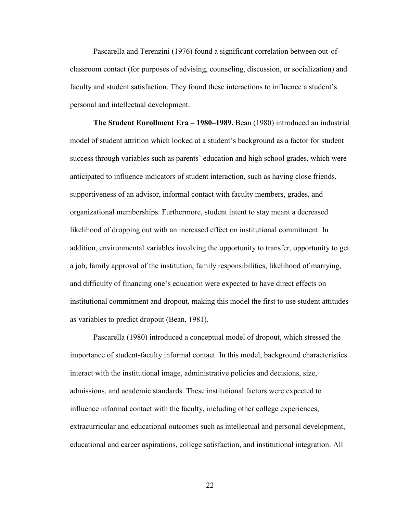Pascarella and Terenzini (1976) found a significant correlation between out-ofclassroom contact (for purposes of advising, counseling, discussion, or socialization) and faculty and student satisfaction. They found these interactions to influence a student's personal and intellectual development.

**The Student Enrollment Era – 1980–1989.** Bean (1980) introduced an industrial model of student attrition which looked at a student's background as a factor for student success through variables such as parents' education and high school grades, which were anticipated to influence indicators of student interaction, such as having close friends, supportiveness of an advisor, informal contact with faculty members, grades, and organizational memberships. Furthermore, student intent to stay meant a decreased likelihood of dropping out with an increased effect on institutional commitment. In addition, environmental variables involving the opportunity to transfer, opportunity to get a job, family approval of the institution, family responsibilities, likelihood of marrying, and difficulty of financing one's education were expected to have direct effects on institutional commitment and dropout, making this model the first to use student attitudes as variables to predict dropout (Bean, 1981).

Pascarella (1980) introduced a conceptual model of dropout, which stressed the importance of student-faculty informal contact. In this model, background characteristics interact with the institutional image, administrative policies and decisions, size, admissions, and academic standards. These institutional factors were expected to influence informal contact with the faculty, including other college experiences, extracurricular and educational outcomes such as intellectual and personal development, educational and career aspirations, college satisfaction, and institutional integration. All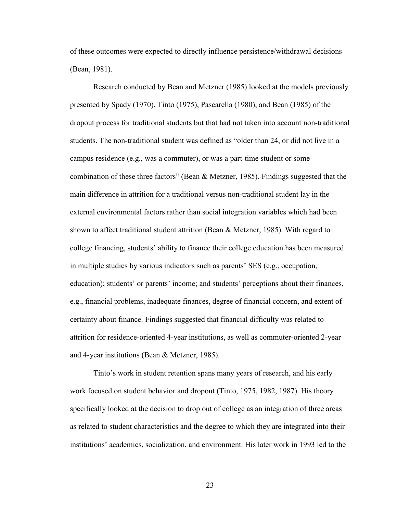of these outcomes were expected to directly influence persistence/withdrawal decisions (Bean, 1981).

Research conducted by Bean and Metzner (1985) looked at the models previously presented by Spady (1970), Tinto (1975), Pascarella (1980), and Bean (1985) of the dropout process for traditional students but that had not taken into account non-traditional students. The non-traditional student was defined as "older than 24, or did not live in a campus residence (e.g., was a commuter), or was a part-time student or some combination of these three factors" (Bean & Metzner, 1985). Findings suggested that the main difference in attrition for a traditional versus non-traditional student lay in the external environmental factors rather than social integration variables which had been shown to affect traditional student attrition (Bean & Metzner, 1985). With regard to college financing, students' ability to finance their college education has been measured in multiple studies by various indicators such as parents' SES (e.g., occupation, education); students' or parents' income; and students' perceptions about their finances, e.g., financial problems, inadequate finances, degree of financial concern, and extent of certainty about finance. Findings suggested that financial difficulty was related to attrition for residence-oriented 4-year institutions, as well as commuter-oriented 2-year and 4-year institutions (Bean & Metzner, 1985).

Tinto's work in student retention spans many years of research, and his early work focused on student behavior and dropout (Tinto, 1975, 1982, 1987). His theory specifically looked at the decision to drop out of college as an integration of three areas as related to student characteristics and the degree to which they are integrated into their institutions' academics, socialization, and environment. His later work in 1993 led to the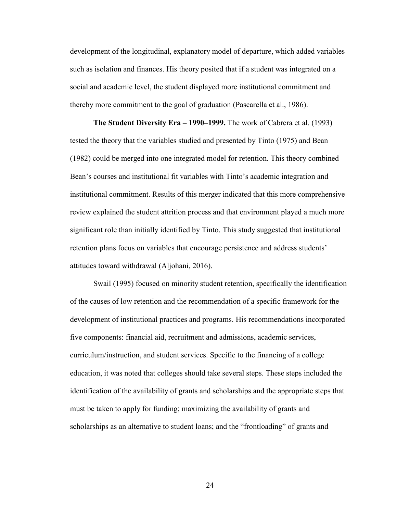development of the longitudinal, explanatory model of departure, which added variables such as isolation and finances. His theory posited that if a student was integrated on a social and academic level, the student displayed more institutional commitment and thereby more commitment to the goal of graduation (Pascarella et al., 1986).

**The Student Diversity Era – 1990–1999.** The work of Cabrera et al. (1993) tested the theory that the variables studied and presented by Tinto (1975) and Bean (1982) could be merged into one integrated model for retention. This theory combined Bean's courses and institutional fit variables with Tinto's academic integration and institutional commitment. Results of this merger indicated that this more comprehensive review explained the student attrition process and that environment played a much more significant role than initially identified by Tinto. This study suggested that institutional retention plans focus on variables that encourage persistence and address students' attitudes toward withdrawal (Aljohani, 2016).

Swail (1995) focused on minority student retention, specifically the identification of the causes of low retention and the recommendation of a specific framework for the development of institutional practices and programs. His recommendations incorporated five components: financial aid, recruitment and admissions, academic services, curriculum/instruction, and student services. Specific to the financing of a college education, it was noted that colleges should take several steps. These steps included the identification of the availability of grants and scholarships and the appropriate steps that must be taken to apply for funding; maximizing the availability of grants and scholarships as an alternative to student loans; and the "frontloading" of grants and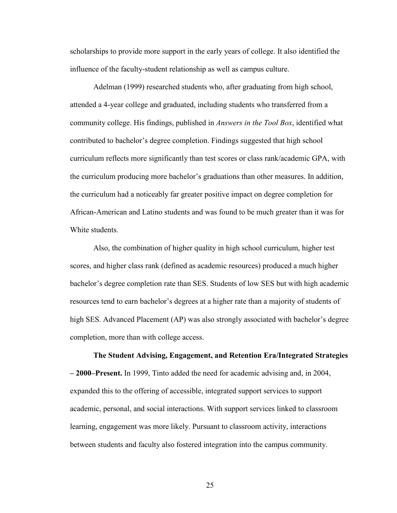scholarships to provide more support in the early years of college. It also identified the influence of the faculty-student relationship as well as campus culture.

Adelman (1999) researched students who, after graduating from high school, attended a 4-year college and graduated, including students who transferred from a community college. His findings, published in *Answers in the Tool Box*, identified what contributed to bachelor's degree completion. Findings suggested that high school curriculum reflects more significantly than test scores or class rank/academic GPA, with the curriculum producing more bachelor's graduations than other measures. In addition, the curriculum had a noticeably far greater positive impact on degree completion for African-American and Latino students and was found to be much greater than it was for White students.

Also, the combination of higher quality in high school curriculum, higher test scores, and higher class rank (defined as academic resources) produced a much higher bachelor's degree completion rate than SES. Students of low SES but with high academic resources tend to earn bachelor's degrees at a higher rate than a majority of students of high SES. Advanced Placement (AP) was also strongly associated with bachelor's degree completion, more than with college access.

**The Student Advising, Engagement, and Retention Era/Integrated Strategies – 2000–Present.** In 1999, Tinto added the need for academic advising and, in 2004, expanded this to the offering of accessible, integrated support services to support academic, personal, and social interactions. With support services linked to classroom learning, engagement was more likely. Pursuant to classroom activity, interactions between students and faculty also fostered integration into the campus community.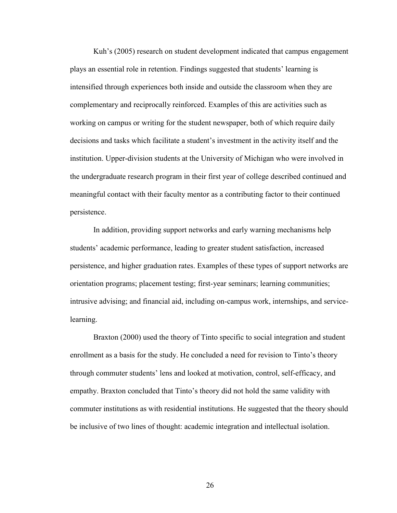Kuh's (2005) research on student development indicated that campus engagement plays an essential role in retention. Findings suggested that students' learning is intensified through experiences both inside and outside the classroom when they are complementary and reciprocally reinforced. Examples of this are activities such as working on campus or writing for the student newspaper, both of which require daily decisions and tasks which facilitate a student's investment in the activity itself and the institution. Upper-division students at the University of Michigan who were involved in the undergraduate research program in their first year of college described continued and meaningful contact with their faculty mentor as a contributing factor to their continued persistence.

In addition, providing support networks and early warning mechanisms help students' academic performance, leading to greater student satisfaction, increased persistence, and higher graduation rates. Examples of these types of support networks are orientation programs; placement testing; first-year seminars; learning communities; intrusive advising; and financial aid, including on-campus work, internships, and servicelearning.

Braxton (2000) used the theory of Tinto specific to social integration and student enrollment as a basis for the study. He concluded a need for revision to Tinto's theory through commuter students' lens and looked at motivation, control, self-efficacy, and empathy. Braxton concluded that Tinto's theory did not hold the same validity with commuter institutions as with residential institutions. He suggested that the theory should be inclusive of two lines of thought: academic integration and intellectual isolation.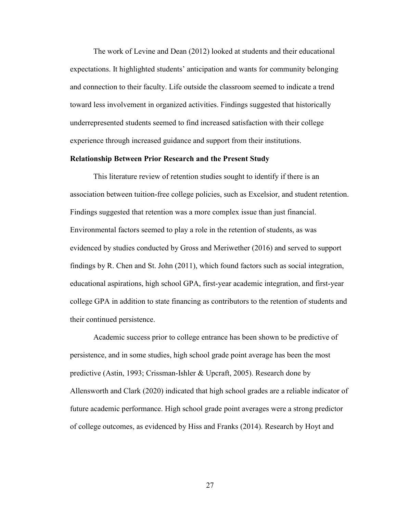The work of Levine and Dean (2012) looked at students and their educational expectations. It highlighted students' anticipation and wants for community belonging and connection to their faculty. Life outside the classroom seemed to indicate a trend toward less involvement in organized activities. Findings suggested that historically underrepresented students seemed to find increased satisfaction with their college experience through increased guidance and support from their institutions.

## **Relationship Between Prior Research and the Present Study**

This literature review of retention studies sought to identify if there is an association between tuition-free college policies, such as Excelsior, and student retention. Findings suggested that retention was a more complex issue than just financial. Environmental factors seemed to play a role in the retention of students, as was evidenced by studies conducted by Gross and Meriwether (2016) and served to support findings by R. Chen and St. John (2011), which found factors such as social integration, educational aspirations, high school GPA, first-year academic integration, and first-year college GPA in addition to state financing as contributors to the retention of students and their continued persistence.

Academic success prior to college entrance has been shown to be predictive of persistence, and in some studies, high school grade point average has been the most predictive (Astin, 1993; Crissman-Ishler & Upcraft, 2005). Research done by Allensworth and Clark (2020) indicated that high school grades are a reliable indicator of future academic performance. High school grade point averages were a strong predictor of college outcomes, as evidenced by Hiss and Franks (2014). Research by Hoyt and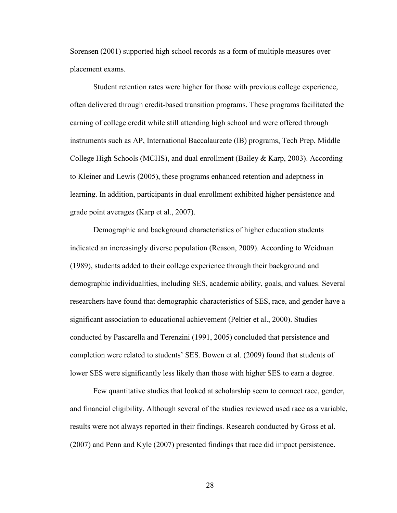Sorensen (2001) supported high school records as a form of multiple measures over placement exams.

Student retention rates were higher for those with previous college experience, often delivered through credit-based transition programs. These programs facilitated the earning of college credit while still attending high school and were offered through instruments such as AP, International Baccalaureate (IB) programs, Tech Prep, Middle College High Schools (MCHS), and dual enrollment (Bailey & Karp, 2003). According to Kleiner and Lewis (2005), these programs enhanced retention and adeptness in learning. In addition, participants in dual enrollment exhibited higher persistence and grade point averages (Karp et al., 2007).

Demographic and background characteristics of higher education students indicated an increasingly diverse population (Reason, 2009). According to Weidman (1989), students added to their college experience through their background and demographic individualities, including SES, academic ability, goals, and values. Several researchers have found that demographic characteristics of SES, race, and gender have a significant association to educational achievement (Peltier et al., 2000). Studies conducted by Pascarella and Terenzini (1991, 2005) concluded that persistence and completion were related to students' SES. Bowen et al. (2009) found that students of lower SES were significantly less likely than those with higher SES to earn a degree.

Few quantitative studies that looked at scholarship seem to connect race, gender, and financial eligibility. Although several of the studies reviewed used race as a variable, results were not always reported in their findings. Research conducted by Gross et al. (2007) and Penn and Kyle (2007) presented findings that race did impact persistence.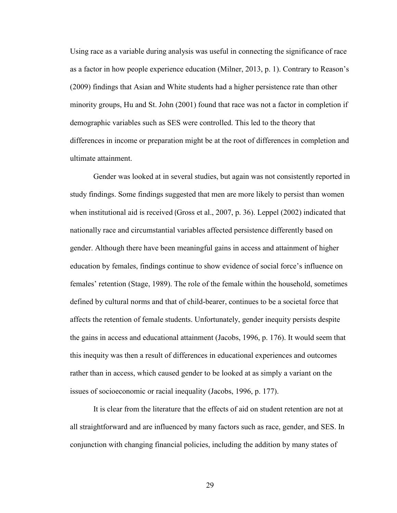Using race as a variable during analysis was useful in connecting the significance of race as a factor in how people experience education (Milner, 2013, p. 1). Contrary to Reason's (2009) findings that Asian and White students had a higher persistence rate than other minority groups, Hu and St. John (2001) found that race was not a factor in completion if demographic variables such as SES were controlled. This led to the theory that differences in income or preparation might be at the root of differences in completion and ultimate attainment.

Gender was looked at in several studies, but again was not consistently reported in study findings. Some findings suggested that men are more likely to persist than women when institutional aid is received (Gross et al., 2007, p. 36). Leppel (2002) indicated that nationally race and circumstantial variables affected persistence differently based on gender. Although there have been meaningful gains in access and attainment of higher education by females, findings continue to show evidence of social force's influence on females' retention (Stage, 1989). The role of the female within the household, sometimes defined by cultural norms and that of child-bearer, continues to be a societal force that affects the retention of female students. Unfortunately, gender inequity persists despite the gains in access and educational attainment (Jacobs, 1996, p. 176). It would seem that this inequity was then a result of differences in educational experiences and outcomes rather than in access, which caused gender to be looked at as simply a variant on the issues of socioeconomic or racial inequality (Jacobs, 1996, p. 177).

It is clear from the literature that the effects of aid on student retention are not at all straightforward and are influenced by many factors such as race, gender, and SES. In conjunction with changing financial policies, including the addition by many states of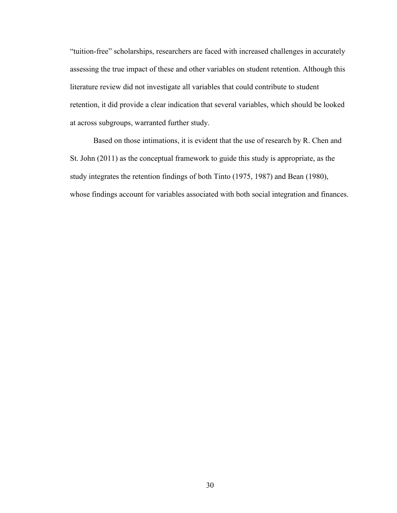"tuition-free" scholarships, researchers are faced with increased challenges in accurately assessing the true impact of these and other variables on student retention. Although this literature review did not investigate all variables that could contribute to student retention, it did provide a clear indication that several variables, which should be looked at across subgroups, warranted further study.

Based on those intimations, it is evident that the use of research by R. Chen and St. John (2011) as the conceptual framework to guide this study is appropriate, as the study integrates the retention findings of both Tinto (1975, 1987) and Bean (1980), whose findings account for variables associated with both social integration and finances.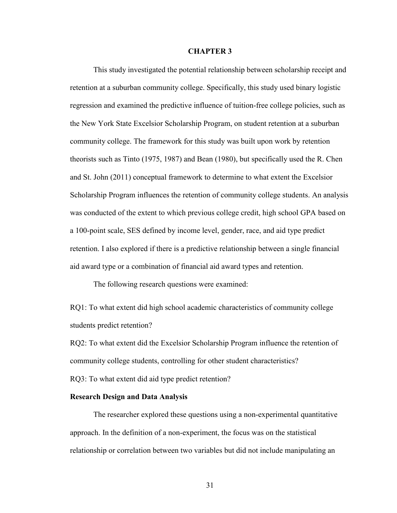#### **CHAPTER 3**

This study investigated the potential relationship between scholarship receipt and retention at a suburban community college. Specifically, this study used binary logistic regression and examined the predictive influence of tuition-free college policies, such as the New York State Excelsior Scholarship Program, on student retention at a suburban community college. The framework for this study was built upon work by retention theorists such as Tinto (1975, 1987) and Bean (1980), but specifically used the R. Chen and St. John (2011) conceptual framework to determine to what extent the Excelsior Scholarship Program influences the retention of community college students. An analysis was conducted of the extent to which previous college credit, high school GPA based on a 100-point scale, SES defined by income level, gender, race, and aid type predict retention. I also explored if there is a predictive relationship between a single financial aid award type or a combination of financial aid award types and retention.

The following research questions were examined:

RQ1: To what extent did high school academic characteristics of community college students predict retention?

RQ2: To what extent did the Excelsior Scholarship Program influence the retention of community college students, controlling for other student characteristics? RQ3: To what extent did aid type predict retention?

# **Research Design and Data Analysis**

The researcher explored these questions using a non-experimental quantitative approach. In the definition of a non-experiment, the focus was on the statistical relationship or correlation between two variables but did not include manipulating an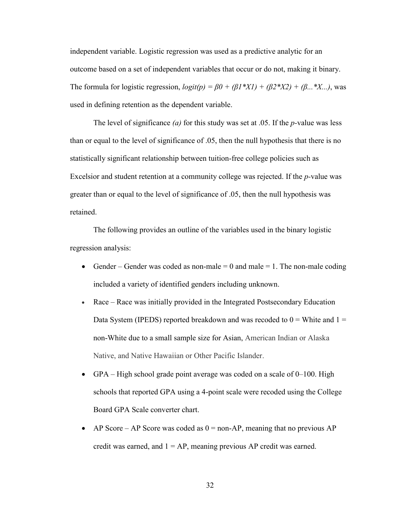independent variable. Logistic regression was used as a predictive analytic for an outcome based on a set of independent variables that occur or do not, making it binary. The formula for logistic regression,  $logit(p) = \beta 0 + (\beta 1^*XI) + (\beta 2^*X2) + (\beta ...^*X...)$ , was used in defining retention as the dependent variable.

The level of significance *(a)* for this study was set at .05. If the *p-*value was less than or equal to the level of significance of .05, then the null hypothesis that there is no statistically significant relationship between tuition-free college policies such as Excelsior and student retention at a community college was rejected. If the *p-*value was greater than or equal to the level of significance of .05, then the null hypothesis was retained.

The following provides an outline of the variables used in the binary logistic regression analysis:

- Gender Gender was coded as non-male  $= 0$  and male  $= 1$ . The non-male coding included a variety of identified genders including unknown.
- Race Race was initially provided in the Integrated Postsecondary Education Data System (IPEDS) reported breakdown and was recoded to  $0 =$  White and  $1 =$ non-White due to a small sample size for Asian, American Indian or Alaska Native, and Native Hawaiian or Other Pacific Islander.
- GPA High school grade point average was coded on a scale of  $0-100$ . High schools that reported GPA using a 4-point scale were recoded using the College Board GPA Scale converter chart.
- AP Score AP Score was coded as  $0 = non-AP$ , meaning that no previous AP credit was earned, and  $1 = AP$ , meaning previous AP credit was earned.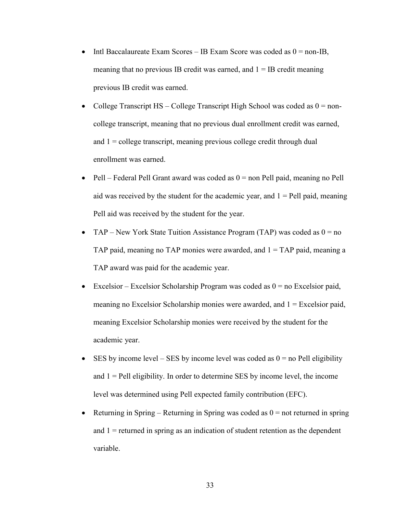- Intl Baccalaureate Exam Scores IB Exam Score was coded as  $0 = \text{non-IB}$ , meaning that no previous IB credit was earned, and  $1 = IB$  credit meaning previous IB credit was earned.
- College Transcript  $HS College$  Transcript High School was coded as  $0 = non$ college transcript, meaning that no previous dual enrollment credit was earned, and  $1 =$  college transcript, meaning previous college credit through dual enrollment was earned.
- Pell Federal Pell Grant award was coded as  $0 =$  non Pell paid, meaning no Pell aid was received by the student for the academic year, and  $1 =$  Pell paid, meaning Pell aid was received by the student for the year.
- TAP New York State Tuition Assistance Program (TAP) was coded as  $0 = no$ TAP paid, meaning no TAP monies were awarded, and  $1 = TAP$  paid, meaning a TAP award was paid for the academic year.
- Excelsior Excelsior Scholarship Program was coded as  $0 =$  no Excelsior paid, meaning no Excelsior Scholarship monies were awarded, and  $1 =$  Excelsior paid, meaning Excelsior Scholarship monies were received by the student for the academic year.
- SES by income level SES by income level was coded as  $0 =$  no Pell eligibility and  $1$  = Pell eligibility. In order to determine SES by income level, the income level was determined using Pell expected family contribution (EFC).
- Returning in Spring Returning in Spring was coded as  $0 =$  not returned in spring and  $1$  = returned in spring as an indication of student retention as the dependent variable.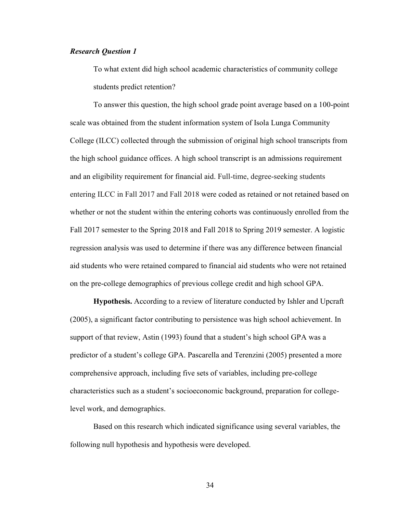# *Research Question 1*

To what extent did high school academic characteristics of community college students predict retention?

To answer this question, the high school grade point average based on a 100-point scale was obtained from the student information system of Isola Lunga Community College (ILCC) collected through the submission of original high school transcripts from the high school guidance offices. A high school transcript is an admissions requirement and an eligibility requirement for financial aid. Full-time, degree-seeking students entering ILCC in Fall 2017 and Fall 2018 were coded as retained or not retained based on whether or not the student within the entering cohorts was continuously enrolled from the Fall 2017 semester to the Spring 2018 and Fall 2018 to Spring 2019 semester. A logistic regression analysis was used to determine if there was any difference between financial aid students who were retained compared to financial aid students who were not retained on the pre-college demographics of previous college credit and high school GPA.

**Hypothesis.** According to a review of literature conducted by Ishler and Upcraft (2005), a significant factor contributing to persistence was high school achievement. In support of that review, Astin (1993) found that a student's high school GPA was a predictor of a student's college GPA. Pascarella and Terenzini (2005) presented a more comprehensive approach, including five sets of variables, including pre-college characteristics such as a student's socioeconomic background, preparation for collegelevel work, and demographics.

Based on this research which indicated significance using several variables, the following null hypothesis and hypothesis were developed.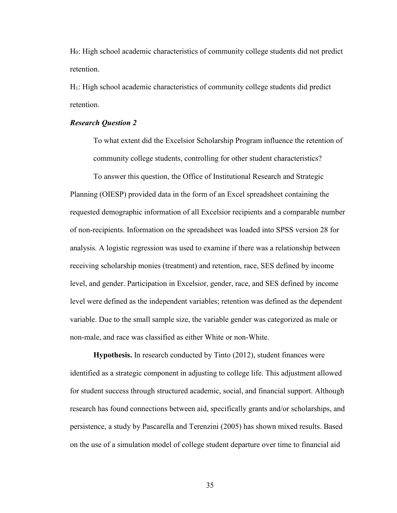H0: High school academic characteristics of community college students did not predict retention.

H1: High school academic characteristics of community college students did predict retention.

#### *Research Question 2*

To what extent did the Excelsior Scholarship Program influence the retention of community college students, controlling for other student characteristics?

To answer this question, the Office of Institutional Research and Strategic Planning (OIESP) provided data in the form of an Excel spreadsheet containing the requested demographic information of all Excelsior recipients and a comparable number of non-recipients. Information on the spreadsheet was loaded into SPSS version 28 for analysis. A logistic regression was used to examine if there was a relationship between receiving scholarship monies (treatment) and retention, race, SES defined by income level, and gender. Participation in Excelsior, gender, race, and SES defined by income level were defined as the independent variables; retention was defined as the dependent variable. Due to the small sample size, the variable gender was categorized as male or non-male, and race was classified as either White or non-White.

**Hypothesis.** In research conducted by Tinto (2012), student finances were identified as a strategic component in adjusting to college life. This adjustment allowed for student success through structured academic, social, and financial support. Although research has found connections between aid, specifically grants and/or scholarships, and persistence, a study by Pascarella and Terenzini (2005) has shown mixed results. Based on the use of a simulation model of college student departure over time to financial aid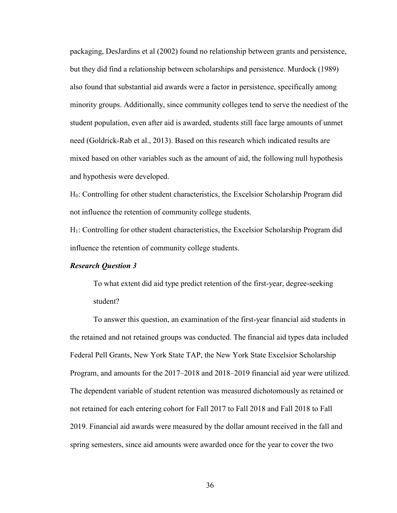packaging, DesJardins et al (2002) found no relationship between grants and persistence, but they did find a relationship between scholarships and persistence. Murdock (1989) also found that substantial aid awards were a factor in persistence, specifically among minority groups. Additionally, since community colleges tend to serve the neediest of the student population, even after aid is awarded, students still face large amounts of unmet need (Goldrick-Rab et al., 2013). Based on this research which indicated results are mixed based on other variables such as the amount of aid, the following null hypothesis and hypothesis were developed.

H0: Controlling for other student characteristics, the Excelsior Scholarship Program did not influence the retention of community college students.

H1: Controlling for other student characteristics, the Excelsior Scholarship Program did influence the retention of community college students.

#### *Research Question 3*

To what extent did aid type predict retention of the first-year, degree-seeking student?

To answer this question, an examination of the first-year financial aid students in the retained and not retained groups was conducted. The financial aid types data included Federal Pell Grants, New York State TAP, the New York State Excelsior Scholarship Program, and amounts for the 2017–2018 and 2018–2019 financial aid year were utilized. The dependent variable of student retention was measured dichotomously as retained or not retained for each entering cohort for Fall 2017 to Fall 2018 and Fall 2018 to Fall 2019. Financial aid awards were measured by the dollar amount received in the fall and spring semesters, since aid amounts were awarded once for the year to cover the two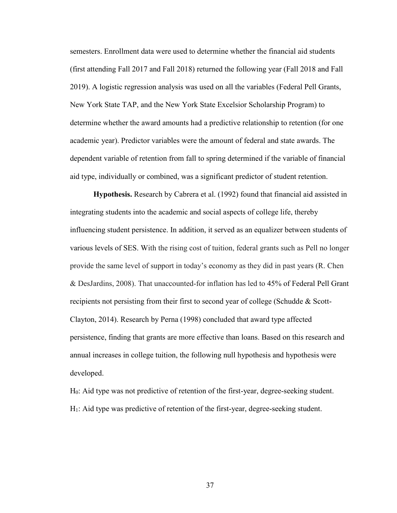semesters. Enrollment data were used to determine whether the financial aid students (first attending Fall 2017 and Fall 2018) returned the following year (Fall 2018 and Fall 2019). A logistic regression analysis was used on all the variables (Federal Pell Grants, New York State TAP, and the New York State Excelsior Scholarship Program) to determine whether the award amounts had a predictive relationship to retention (for one academic year). Predictor variables were the amount of federal and state awards. The dependent variable of retention from fall to spring determined if the variable of financial aid type, individually or combined, was a significant predictor of student retention.

**Hypothesis.** Research by Cabrera et al. (1992) found that financial aid assisted in integrating students into the academic and social aspects of college life, thereby influencing student persistence. In addition, it served as an equalizer between students of various levels of SES. With the rising cost of tuition, federal grants such as Pell no longer provide the same level of support in today's economy as they did in past years (R. Chen & DesJardins, 2008). That unaccounted-for inflation has led to 45% of Federal Pell Grant recipients not persisting from their first to second year of college (Schudde & Scott-Clayton, 2014). Research by Perna (1998) concluded that award type affected persistence, finding that grants are more effective than loans. Based on this research and annual increases in college tuition, the following null hypothesis and hypothesis were developed.

H0: Aid type was not predictive of retention of the first-year, degree-seeking student. H1: Aid type was predictive of retention of the first-year, degree-seeking student.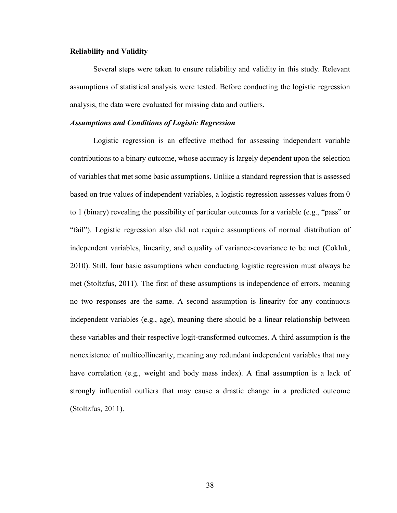#### **Reliability and Validity**

Several steps were taken to ensure reliability and validity in this study. Relevant assumptions of statistical analysis were tested. Before conducting the logistic regression analysis, the data were evaluated for missing data and outliers.

# *Assumptions and Conditions of Logistic Regression*

Logistic regression is an effective method for assessing independent variable contributions to a binary outcome, whose accuracy is largely dependent upon the selection of variables that met some basic assumptions. Unlike a standard regression that is assessed based on true values of independent variables, a logistic regression assesses values from 0 to 1 (binary) revealing the possibility of particular outcomes for a variable (e.g., "pass" or "fail"). Logistic regression also did not require assumptions of normal distribution of independent variables, linearity, and equality of variance-covariance to be met (Cokluk, 2010). Still, four basic assumptions when conducting logistic regression must always be met (Stoltzfus, 2011). The first of these assumptions is independence of errors, meaning no two responses are the same. A second assumption is linearity for any continuous independent variables (e.g., age), meaning there should be a linear relationship between these variables and their respective logit-transformed outcomes. A third assumption is the nonexistence of multicollinearity, meaning any redundant independent variables that may have correlation (e.g., weight and body mass index). A final assumption is a lack of strongly influential outliers that may cause a drastic change in a predicted outcome (Stoltzfus, 2011).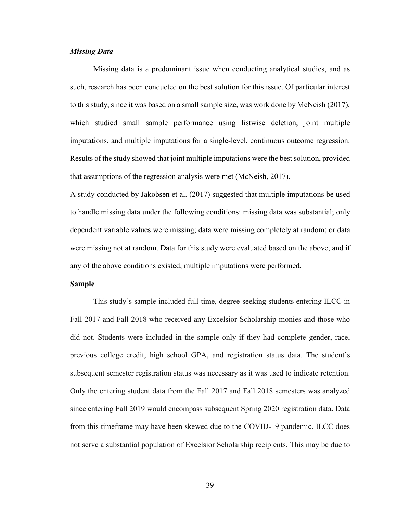# *Missing Data*

Missing data is a predominant issue when conducting analytical studies, and as such, research has been conducted on the best solution for this issue. Of particular interest to this study, since it was based on a small sample size, was work done by McNeish (2017), which studied small sample performance using listwise deletion, joint multiple imputations, and multiple imputations for a single-level, continuous outcome regression. Results of the study showed that joint multiple imputations were the best solution, provided that assumptions of the regression analysis were met (McNeish, 2017).

A study conducted by Jakobsen et al. (2017) suggested that multiple imputations be used to handle missing data under the following conditions: missing data was substantial; only dependent variable values were missing; data were missing completely at random; or data were missing not at random. Data for this study were evaluated based on the above, and if any of the above conditions existed, multiple imputations were performed.

#### **Sample**

This study's sample included full-time, degree-seeking students entering ILCC in Fall 2017 and Fall 2018 who received any Excelsior Scholarship monies and those who did not. Students were included in the sample only if they had complete gender, race, previous college credit, high school GPA, and registration status data. The student's subsequent semester registration status was necessary as it was used to indicate retention. Only the entering student data from the Fall 2017 and Fall 2018 semesters was analyzed since entering Fall 2019 would encompass subsequent Spring 2020 registration data. Data from this timeframe may have been skewed due to the COVID-19 pandemic. ILCC does not serve a substantial population of Excelsior Scholarship recipients. This may be due to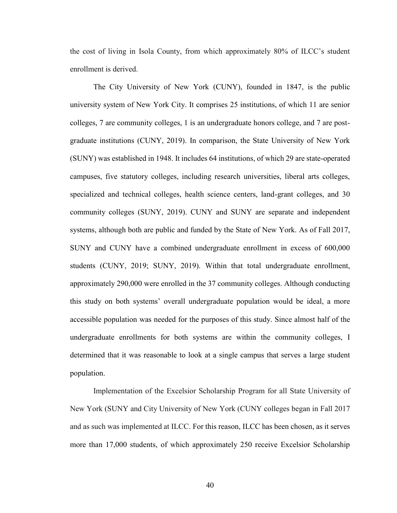the cost of living in Isola County, from which approximately 80% of ILCC's student enrollment is derived.

The City University of New York (CUNY), founded in 1847, is the [public](https://en.wikipedia.org/wiki/Public_university) [university system](https://en.wikipedia.org/wiki/University_system) of [New York City.](https://en.wikipedia.org/wiki/Education_in_New_York_City) It comprises 25 institutions, of which 11 are senior colleges, 7 are community colleges, 1 is an undergraduate honors college, and 7 are postgraduate institutions (CUNY, 2019). In comparison, the State University of New York (SUNY) was established in 1948. It includes 64 institutions, of which 29 are state-operated campuses, five statutory colleges, including research universities, liberal arts colleges, specialized and technical colleges, health science centers, land-grant colleges, and 30 community colleges (SUNY, 2019). CUNY and SUNY are separate and independent systems, although both are public and funded by the State of [New York.](https://en.wikipedia.org/wiki/New_York_State) As of Fall 2017, SUNY and CUNY have a combined undergraduate enrollment in excess of 600,000 students (CUNY, 2019; SUNY, 2019). Within that total undergraduate enrollment, approximately 290,000 were enrolled in the 37 community colleges. Although conducting this study on both systems' overall undergraduate population would be ideal, a more accessible population was needed for the purposes of this study. Since almost half of the undergraduate enrollments for both systems are within the community colleges, I determined that it was reasonable to look at a single campus that serves a large student population.

Implementation of the Excelsior Scholarship Program for all State University of New York (SUNY and City University of New York (CUNY colleges began in Fall 2017 and as such was implemented at ILCC. For this reason, ILCC has been chosen, as it serves more than 17,000 students, of which approximately 250 receive Excelsior Scholarship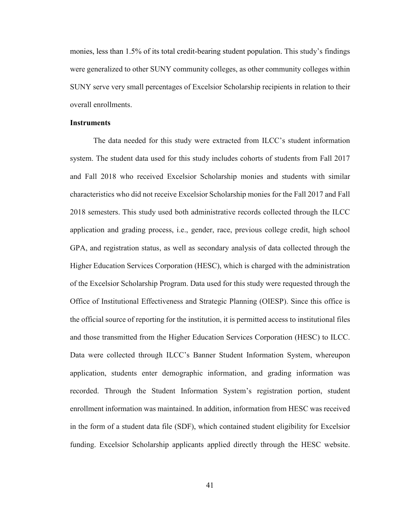monies, less than 1.5% of its total credit-bearing student population. This study's findings were generalized to other SUNY community colleges, as other community colleges within SUNY serve very small percentages of Excelsior Scholarship recipients in relation to their overall enrollments.

# **Instruments**

The data needed for this study were extracted from ILCC's student information system. The student data used for this study includes cohorts of students from Fall 2017 and Fall 2018 who received Excelsior Scholarship monies and students with similar characteristics who did not receive Excelsior Scholarship monies for the Fall 2017 and Fall 2018 semesters. This study used both administrative records collected through the ILCC application and grading process, i.e., gender, race, previous college credit, high school GPA, and registration status, as well as secondary analysis of data collected through the Higher Education Services Corporation (HESC), which is charged with the administration of the Excelsior Scholarship Program. Data used for this study were requested through the Office of Institutional Effectiveness and Strategic Planning (OIESP). Since this office is the official source of reporting for the institution, it is permitted access to institutional files and those transmitted from the Higher Education Services Corporation (HESC) to ILCC. Data were collected through ILCC's Banner Student Information System, whereupon application, students enter demographic information, and grading information was recorded. Through the Student Information System's registration portion, student enrollment information was maintained. In addition, information from HESC was received in the form of a student data file (SDF), which contained student eligibility for Excelsior funding. Excelsior Scholarship applicants applied directly through the HESC website.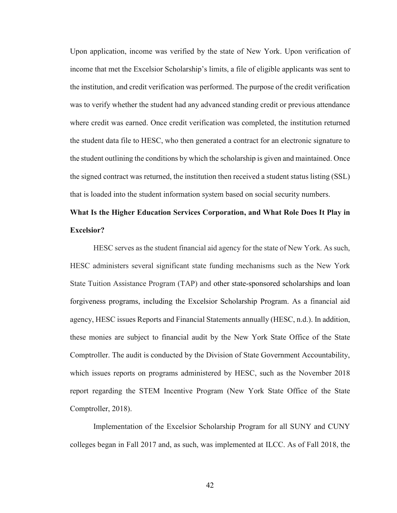Upon application, income was verified by the state of New York. Upon verification of income that met the Excelsior Scholarship's limits, a file of eligible applicants was sent to the institution, and credit verification was performed. The purpose of the credit verification was to verify whether the student had any advanced standing credit or previous attendance where credit was earned. Once credit verification was completed, the institution returned the student data file to HESC, who then generated a contract for an electronic signature to the student outlining the conditions by which the scholarship is given and maintained. Once the signed contract was returned, the institution then received a student status listing (SSL) that is loaded into the student information system based on social security numbers.

# **What Is the Higher Education Services Corporation, and What Role Does It Play in Excelsior?**

HESC serves as the student financial aid agency for the state of New York. As such, HESC administers several significant state funding mechanisms such as the New York State Tuition Assistance Program (TAP) and other state-sponsored scholarships and loan forgiveness programs, including the Excelsior Scholarship Program. As a financial aid agency, HESC issues Reports and Financial Statements annually (HESC, n.d.). In addition, these monies are subject to financial audit by the New York State Office of the State Comptroller. The audit is conducted by the Division of State Government Accountability, which issues reports on programs administered by HESC, such as the November 2018 report regarding the STEM Incentive Program (New York State Office of the State Comptroller, 2018).

Implementation of the Excelsior Scholarship Program for all SUNY and CUNY colleges began in Fall 2017 and, as such, was implemented at ILCC. As of Fall 2018, the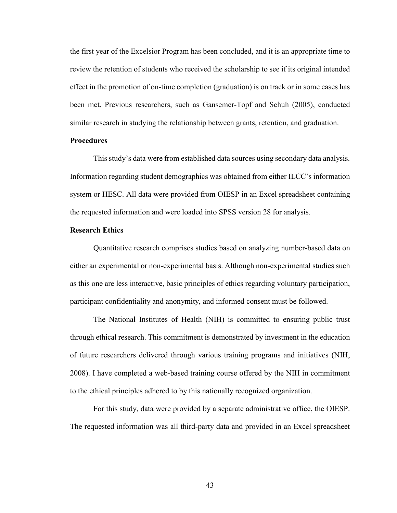the first year of the Excelsior Program has been concluded, and it is an appropriate time to review the retention of students who received the scholarship to see if its original intended effect in the promotion of on-time completion (graduation) is on track or in some cases has been met. Previous researchers, such as Gansemer-Topf and Schuh (2005), conducted similar research in studying the relationship between grants, retention, and graduation.

### **Procedures**

This study's data were from established data sources using secondary data analysis. Information regarding student demographics was obtained from either ILCC's information system or HESC. All data were provided from OIESP in an Excel spreadsheet containing the requested information and were loaded into SPSS version 28 for analysis.

# **Research Ethics**

Quantitative research comprises studies based on analyzing number-based data on either an experimental or non-experimental basis. Although non-experimental studies such as this one are less interactive, basic principles of ethics regarding voluntary participation, participant confidentiality and anonymity, and informed consent must be followed.

The National Institutes of Health (NIH) is committed to ensuring public trust through ethical research. This commitment is demonstrated by investment in the education of future researchers delivered through various training programs and initiatives (NIH, 2008). I have completed a web-based training course offered by the NIH in commitment to the ethical principles adhered to by this nationally recognized organization.

For this study, data were provided by a separate administrative office, the OIESP. The requested information was all third-party data and provided in an Excel spreadsheet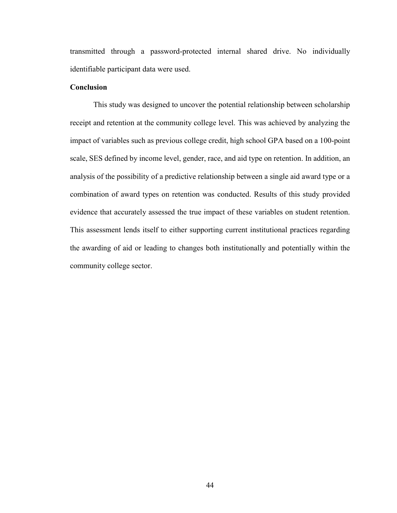transmitted through a password-protected internal shared drive. No individually identifiable participant data were used.

## **Conclusion**

This study was designed to uncover the potential relationship between scholarship receipt and retention at the community college level. This was achieved by analyzing the impact of variables such as previous college credit, high school GPA based on a 100-point scale, SES defined by income level, gender, race, and aid type on retention. In addition, an analysis of the possibility of a predictive relationship between a single aid award type or a combination of award types on retention was conducted. Results of this study provided evidence that accurately assessed the true impact of these variables on student retention. This assessment lends itself to either supporting current institutional practices regarding the awarding of aid or leading to changes both institutionally and potentially within the community college sector.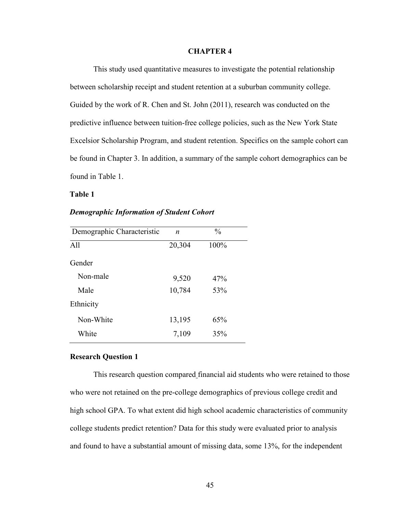#### **CHAPTER 4**

This study used quantitative measures to investigate the potential relationship between scholarship receipt and student retention at a suburban community college. Guided by the work of R. Chen and St. John (2011), research was conducted on the predictive influence between tuition-free college policies, such as the New York State Excelsior Scholarship Program, and student retention. Specifics on the sample cohort can be found in Chapter 3. In addition, a summary of the sample cohort demographics can be found in Table 1.

**Table 1**

#### *Demographic Information of Student Cohort*

| Demographic Characteristic | n      | $\frac{0}{0}$ |
|----------------------------|--------|---------------|
| A11                        | 20,304 | 100%          |
| Gender                     |        |               |
| Non-male                   | 9,520  | 47%           |
| Male                       | 10,784 | 53%           |
| Ethnicity                  |        |               |
| Non-White                  | 13,195 | 65%           |
| White                      | 7,109  | 35%           |

# **Research Question 1**

This research question compared financial aid students who were retained to those who were not retained on the pre-college demographics of previous college credit and high school GPA. To what extent did high school academic characteristics of community college students predict retention? Data for this study were evaluated prior to analysis and found to have a substantial amount of missing data, some 13%, for the independent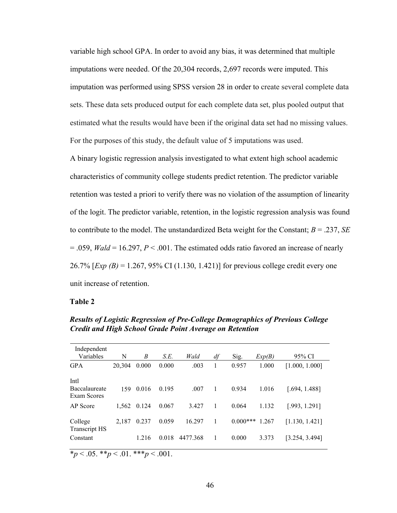variable high school GPA. In order to avoid any bias, it was determined that multiple imputations were needed. Of the 20,304 records, 2,697 records were imputed. This imputation was performed using SPSS version 28 in order to create several complete data sets. These data sets produced output for each complete data set, plus pooled output that estimated what the results would have been if the original data set had no missing values. For the purposes of this study, the default value of 5 imputations was used.

A binary logistic regression analysis investigated to what extent high school academic characteristics of community college students predict retention. The predictor variable retention was tested a priori to verify there was no violation of the assumption of linearity of the logit. The predictor variable, retention, in the logistic regression analysis was found to contribute to the model. The unstandardized Beta weight for the Constant; *B* = .237, *SE* = .059, *Wald* = 16.297, *P* < .001. The estimated odds ratio favored an increase of nearly 26.7% [*Exp (B)* = 1.267, 95% CI (1.130, 1.421)] for previous college credit every one unit increase of retention.

#### **Table 2**

| Independent                     |        |       |       |          |    |            |        |                |
|---------------------------------|--------|-------|-------|----------|----|------------|--------|----------------|
| Variables                       | N      | B     | S.E.  | Wald     | df | Sig.       | Exp(B) | 95% CI         |
| <b>GPA</b>                      | 20,304 | 0.000 | 0.000 | .003     | 1  | 0.957      | 1.000  | [1.000, 1.000] |
| Intl                            |        |       |       |          |    |            |        |                |
| Baccalaureate<br>Exam Scores    | 159    | 0.016 | 0.195 | .007     | 1  | 0.934      | 1.016  | [.694, 1.488]  |
| AP Score                        | 1.562  | 0.124 | 0.067 | 3.427    | 1  | 0.064      | 1.132  | [.993, 1.291]  |
| College<br><b>Transcript HS</b> | 2,187  | 0.237 | 0.059 | 16.297   | 1  | $0.000***$ | 1.267  | [1.130, 1.421] |
| Constant                        |        | 1.216 | 0.018 | 4477.368 | 1  | 0.000      | 3.373  | [3.254, 3.494] |
|                                 |        |       |       |          |    |            |        |                |

*Results of Logistic Regression of Pre-College Demographics of Previous College Credit and High School Grade Point Average on Retention* 

\**p* < .05. \*\**p* < .01. \*\*\**p* < .001.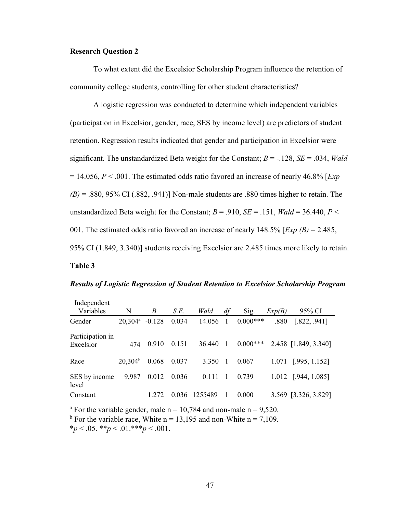# **Research Question 2**

To what extent did the Excelsior Scholarship Program influence the retention of community college students, controlling for other student characteristics?

A logistic regression was conducted to determine which independent variables (participation in Excelsior, gender, race, SES by income level) are predictors of student retention. Regression results indicated that gender and participation in Excelsior were significant. The unstandardized Beta weight for the Constant; *B* = -.128, *SE* = .034, *Wald* = 14.056, *P* < .001. The estimated odds ratio favored an increase of nearly 46.8% [*Exp*  $(B)$  = .880, 95% CI (.882, .941)] Non-male students are .880 times higher to retain. The unstandardized Beta weight for the Constant;  $B = .910$ ,  $SE = .151$ ,  $Wald = 36.440$ ,  $P <$ 001. The estimated odds ratio favored an increase of nearly 148.5% [*Exp (B)* = 2.485, 95% CI (1.849, 3.340)] students receiving Excelsior are 2.485 times more likely to retain.

# **Table 3**

|  |  | <b>Results of Logistic Regression of Student Retention to Excelsior Scholarship Program</b> |  |  |
|--|--|---------------------------------------------------------------------------------------------|--|--|
|  |  |                                                                                             |  |  |

| Independent<br>Variables | N                   | B        | S.E.  | Wald    | df | Sig.        | Exp(B) | 95% CI               |
|--------------------------|---------------------|----------|-------|---------|----|-------------|--------|----------------------|
|                          |                     |          |       |         |    |             |        |                      |
| Gender                   | $20,304^{\rm a}$    | $-0.128$ | 0.034 | 14.056  | 1  | $0.000***$  | .880   | [.822, .941]         |
|                          |                     |          |       |         |    |             |        |                      |
| Participation in         |                     |          |       |         |    |             |        |                      |
| Excelsior                | 474                 | 0.910    | 0.151 | 36.440  | 1  | $0.000$ *** |        | 2.458 [1.849, 3.340] |
|                          |                     |          |       |         |    |             |        |                      |
| Race                     | 20.304 <sup>b</sup> | 0.068    | 0.037 | 3.350   | 1  | 0.067       |        | 1.071 [.995, 1.152]  |
|                          |                     |          |       |         |    |             |        |                      |
| SES by income            | 9,987               | 0.012    | 0.036 | 0.111   |    | 0.739       |        | 1.012 [.944, 1.085]  |
| level                    |                     |          |       |         |    |             |        |                      |
| Constant                 |                     |          | 0.036 | 1255489 |    | 0.000       |        | 3.569 [3.326, 3.829] |
|                          |                     |          |       |         |    |             |        |                      |

<sup>a</sup> For the variable gender, male  $n = 10,784$  and non-male  $n = 9,520$ .

<sup>b</sup> For the variable race, White  $n = 13,195$  and non-White  $n = 7,109$ .

 $*_p$  < .05.  $*_p$  < .01.  $**_p$  < .001.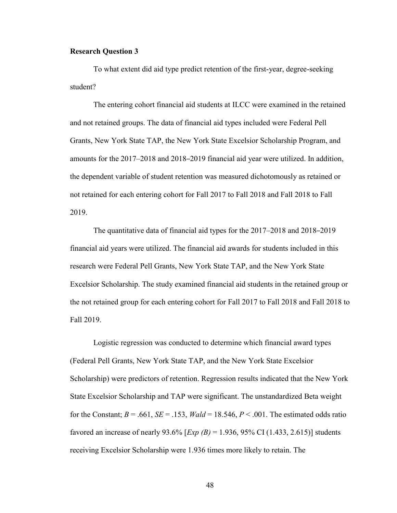# **Research Question 3**

To what extent did aid type predict retention of the first-year, degree-seeking student?

The entering cohort financial aid students at ILCC were examined in the retained and not retained groups. The data of financial aid types included were Federal Pell Grants, New York State TAP, the New York State Excelsior Scholarship Program, and amounts for the 2017–2018 and 2018–2019 financial aid year were utilized. In addition, the dependent variable of student retention was measured dichotomously as retained or not retained for each entering cohort for Fall 2017 to Fall 2018 and Fall 2018 to Fall 2019.

The quantitative data of financial aid types for the 2017–2018 and 2018–2019 financial aid years were utilized. The financial aid awards for students included in this research were Federal Pell Grants, New York State TAP, and the New York State Excelsior Scholarship. The study examined financial aid students in the retained group or the not retained group for each entering cohort for Fall 2017 to Fall 2018 and Fall 2018 to Fall 2019.

Logistic regression was conducted to determine which financial award types (Federal Pell Grants, New York State TAP, and the New York State Excelsior Scholarship) were predictors of retention. Regression results indicated that the New York State Excelsior Scholarship and TAP were significant. The unstandardized Beta weight for the Constant;  $B = .661$ ,  $SE = .153$ ,  $Wald = 18.546$ ,  $P < .001$ . The estimated odds ratio favored an increase of nearly 93.6% [*Exp (B)* = 1.936, 95% CI (1.433, 2.615)] students receiving Excelsior Scholarship were 1.936 times more likely to retain. The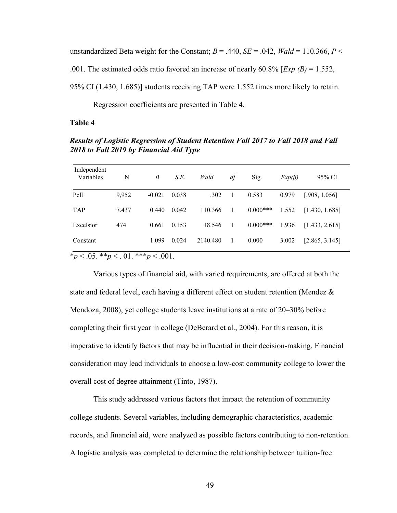unstandardized Beta weight for the Constant;  $B = .440$ ,  $SE = .042$ ,  $Wald = 110.366$ ,  $P \le$ .001. The estimated odds ratio favored an increase of nearly 60.8% [*Exp (B)* = 1.552, 95% CI (1.430, 1.685)] students receiving TAP were 1.552 times more likely to retain.

Regression coefficients are presented in Table 4.

#### **Table 4**

*Results of Logistic Regression of Student Retention Fall 2017 to Fall 2018 and Fall 2018 to Fall 2019 by Financial Aid Type*

| Independent<br>Variables                   | N     | B        | S.E.  | Wald     | df | Sig.       | $Exp(\beta)$ | 95% CI         |
|--------------------------------------------|-------|----------|-------|----------|----|------------|--------------|----------------|
| Pell                                       | 9,952 | $-0.021$ | 0.038 | .302     | 1  | 0.583      | 0.979        | [.908, 1.056]  |
| <b>TAP</b>                                 | 7.437 | 0.440    | 0.042 | 110.366  | -1 | $0.000***$ | 1.552        | [1.430, 1.685] |
| Excelsior                                  | 474   | 0.661    | 0.153 | 18.546   | -1 | $0.000***$ | 1.936        | [1.433, 2.615] |
| Constant                                   |       | 1.099    | 0.024 | 2140.480 | 1  | 0.000      | 3.002        | [2.865, 3.145] |
| * $p < .05.$ ** $p < .01.$ *** $p < .001.$ |       |          |       |          |    |            |              |                |

Various types of financial aid, with varied requirements, are offered at both the state and federal level, each having a different effect on student retention (Mendez & Mendoza, 2008), yet college students leave institutions at a rate of 20–30% before completing their first year in college (DeBerard et al., 2004). For this reason, it is imperative to identify factors that may be influential in their decision-making. Financial consideration may lead individuals to choose a low-cost community college to lower the overall cost of degree attainment (Tinto, 1987).

This study addressed various factors that impact the retention of community college students. Several variables, including demographic characteristics, academic records, and financial aid, were analyzed as possible factors contributing to non-retention. A logistic analysis was completed to determine the relationship between tuition-free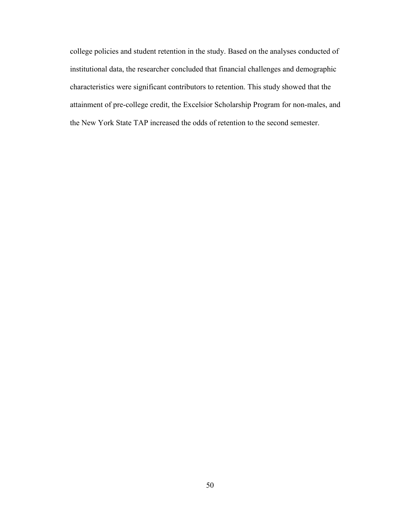college policies and student retention in the study. Based on the analyses conducted of institutional data, the researcher concluded that financial challenges and demographic characteristics were significant contributors to retention. This study showed that the attainment of pre-college credit, the Excelsior Scholarship Program for non-males, and the New York State TAP increased the odds of retention to the second semester.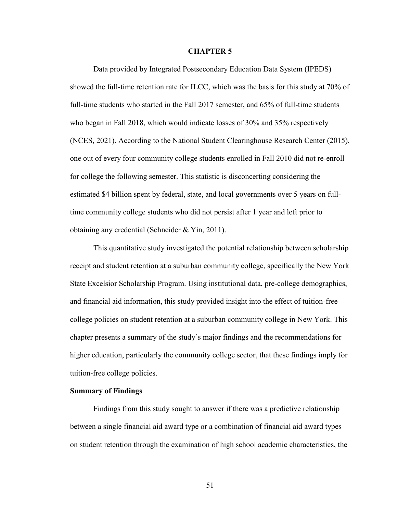#### **CHAPTER 5**

Data provided by Integrated Postsecondary Education Data System (IPEDS) showed the full-time retention rate for ILCC, which was the basis for this study at 70% of full-time students who started in the Fall 2017 semester, and 65% of full-time students who began in Fall 2018, which would indicate losses of 30% and 35% respectively (NCES, 2021). According to the National Student Clearinghouse Research Center (2015), one out of every four community college students enrolled in Fall 2010 did not re-enroll for college the following semester. This statistic is disconcerting considering the estimated \$4 billion spent by federal, state, and local governments over 5 years on fulltime community college students who did not persist after 1 year and left prior to obtaining any credential (Schneider & Yin, 2011).

This quantitative study investigated the potential relationship between scholarship receipt and student retention at a suburban community college, specifically the New York State Excelsior Scholarship Program. Using institutional data, pre-college demographics, and financial aid information, this study provided insight into the effect of tuition-free college policies on student retention at a suburban community college in New York. This chapter presents a summary of the study's major findings and the recommendations for higher education, particularly the community college sector, that these findings imply for tuition-free college policies.

#### **Summary of Findings**

Findings from this study sought to answer if there was a predictive relationship between a single financial aid award type or a combination of financial aid award types on student retention through the examination of high school academic characteristics, the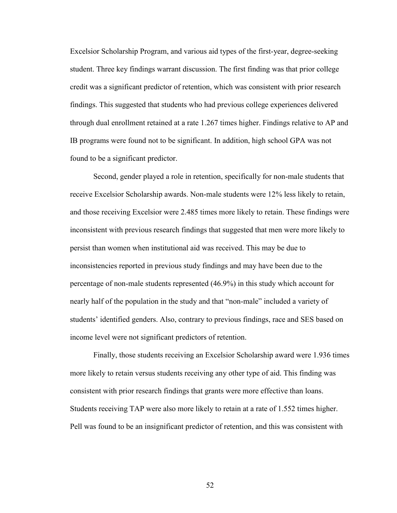Excelsior Scholarship Program, and various aid types of the first-year, degree-seeking student. Three key findings warrant discussion. The first finding was that prior college credit was a significant predictor of retention, which was consistent with prior research findings. This suggested that students who had previous college experiences delivered through dual enrollment retained at a rate 1.267 times higher. Findings relative to AP and IB programs were found not to be significant. In addition, high school GPA was not found to be a significant predictor.

Second, gender played a role in retention, specifically for non-male students that receive Excelsior Scholarship awards. Non-male students were 12% less likely to retain, and those receiving Excelsior were 2.485 times more likely to retain. These findings were inconsistent with previous research findings that suggested that men were more likely to persist than women when institutional aid was received. This may be due to inconsistencies reported in previous study findings and may have been due to the percentage of non-male students represented (46.9%) in this study which account for nearly half of the population in the study and that "non-male" included a variety of students' identified genders. Also, contrary to previous findings, race and SES based on income level were not significant predictors of retention.

Finally, those students receiving an Excelsior Scholarship award were 1.936 times more likely to retain versus students receiving any other type of aid. This finding was consistent with prior research findings that grants were more effective than loans. Students receiving TAP were also more likely to retain at a rate of 1.552 times higher. Pell was found to be an insignificant predictor of retention, and this was consistent with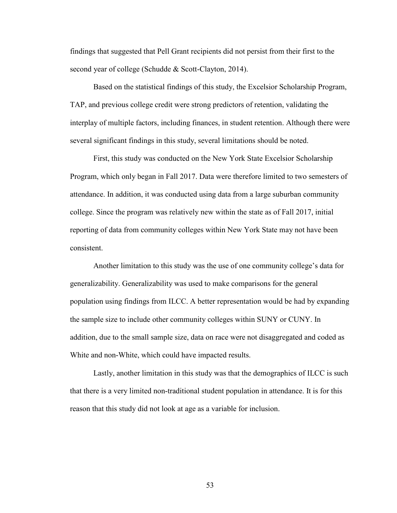findings that suggested that Pell Grant recipients did not persist from their first to the second year of college (Schudde & Scott-Clayton, 2014).

Based on the statistical findings of this study, the Excelsior Scholarship Program, TAP, and previous college credit were strong predictors of retention, validating the interplay of multiple factors, including finances, in student retention. Although there were several significant findings in this study, several limitations should be noted.

First, this study was conducted on the New York State Excelsior Scholarship Program, which only began in Fall 2017. Data were therefore limited to two semesters of attendance. In addition, it was conducted using data from a large suburban community college. Since the program was relatively new within the state as of Fall 2017, initial reporting of data from community colleges within New York State may not have been consistent.

Another limitation to this study was the use of one community college's data for generalizability. Generalizability was used to make comparisons for the general population using findings from ILCC. A better representation would be had by expanding the sample size to include other community colleges within SUNY or CUNY. In addition, due to the small sample size, data on race were not disaggregated and coded as White and non-White, which could have impacted results.

Lastly, another limitation in this study was that the demographics of ILCC is such that there is a very limited non-traditional student population in attendance. It is for this reason that this study did not look at age as a variable for inclusion.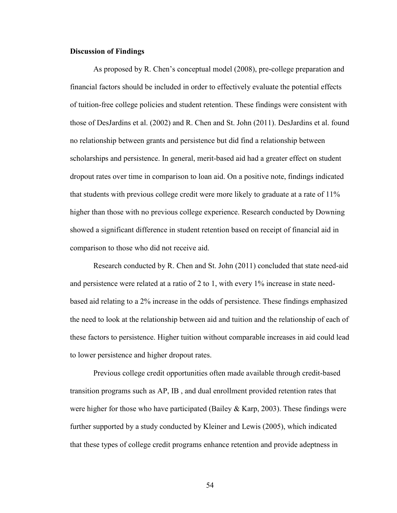# **Discussion of Findings**

As proposed by R. Chen's conceptual model (2008), pre-college preparation and financial factors should be included in order to effectively evaluate the potential effects of tuition-free college policies and student retention. These findings were consistent with those of DesJardins et al. (2002) and R. Chen and St. John (2011). DesJardins et al. found no relationship between grants and persistence but did find a relationship between scholarships and persistence. In general, merit-based aid had a greater effect on student dropout rates over time in comparison to loan aid. On a positive note, findings indicated that students with previous college credit were more likely to graduate at a rate of 11% higher than those with no previous college experience. Research conducted by Downing showed a significant difference in student retention based on receipt of financial aid in comparison to those who did not receive aid.

Research conducted by R. Chen and St. John (2011) concluded that state need-aid and persistence were related at a ratio of 2 to 1, with every 1% increase in state needbased aid relating to a 2% increase in the odds of persistence. These findings emphasized the need to look at the relationship between aid and tuition and the relationship of each of these factors to persistence. Higher tuition without comparable increases in aid could lead to lower persistence and higher dropout rates.

Previous college credit opportunities often made available through credit-based transition programs such as AP, IB , and dual enrollment provided retention rates that were higher for those who have participated (Bailey & Karp, 2003). These findings were further supported by a study conducted by Kleiner and Lewis (2005), which indicated that these types of college credit programs enhance retention and provide adeptness in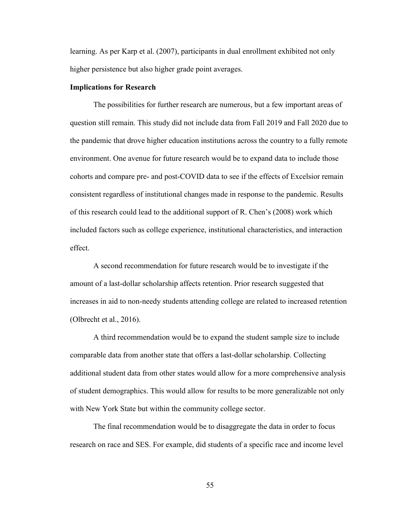learning. As per Karp et al. (2007), participants in dual enrollment exhibited not only higher persistence but also higher grade point averages.

## **Implications for Research**

The possibilities for further research are numerous, but a few important areas of question still remain. This study did not include data from Fall 2019 and Fall 2020 due to the pandemic that drove higher education institutions across the country to a fully remote environment. One avenue for future research would be to expand data to include those cohorts and compare pre- and post-COVID data to see if the effects of Excelsior remain consistent regardless of institutional changes made in response to the pandemic. Results of this research could lead to the additional support of R. Chen's (2008) work which included factors such as college experience, institutional characteristics, and interaction effect.

A second recommendation for future research would be to investigate if the amount of a last-dollar scholarship affects retention. Prior research suggested that increases in aid to non-needy students attending college are related to increased retention (Olbrecht et al., 2016).

A third recommendation would be to expand the student sample size to include comparable data from another state that offers a last-dollar scholarship. Collecting additional student data from other states would allow for a more comprehensive analysis of student demographics. This would allow for results to be more generalizable not only with New York State but within the community college sector.

The final recommendation would be to disaggregate the data in order to focus research on race and SES. For example, did students of a specific race and income level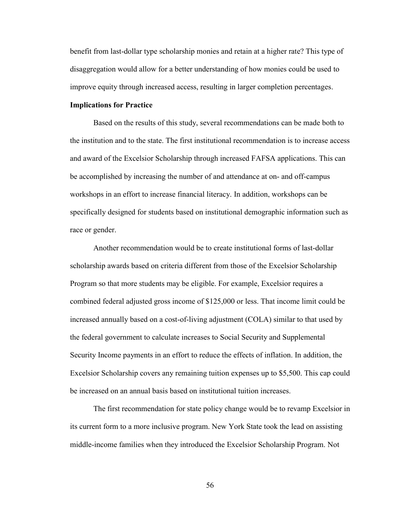benefit from last-dollar type scholarship monies and retain at a higher rate? This type of disaggregation would allow for a better understanding of how monies could be used to improve equity through increased access, resulting in larger completion percentages.

# **Implications for Practice**

Based on the results of this study, several recommendations can be made both to the institution and to the state. The first institutional recommendation is to increase access and award of the Excelsior Scholarship through increased FAFSA applications. This can be accomplished by increasing the number of and attendance at on- and off-campus workshops in an effort to increase financial literacy. In addition, workshops can be specifically designed for students based on institutional demographic information such as race or gender.

Another recommendation would be to create institutional forms of last-dollar scholarship awards based on criteria different from those of the Excelsior Scholarship Program so that more students may be eligible. For example, Excelsior requires a combined federal adjusted gross income of \$125,000 or less. That income limit could be increased annually based on a cost-of-living adjustment (COLA) similar to that used by the federal government to calculate increases to Social Security and Supplemental Security Income payments in an effort to reduce the effects of inflation. In addition, the Excelsior Scholarship covers any remaining tuition expenses up to \$5,500. This cap could be increased on an annual basis based on institutional tuition increases.

The first recommendation for state policy change would be to revamp Excelsior in its current form to a more inclusive program. New York State took the lead on assisting middle-income families when they introduced the Excelsior Scholarship Program. Not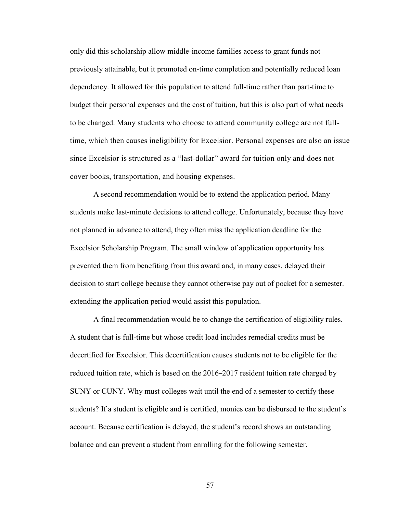only did this scholarship allow middle-income families access to grant funds not previously attainable, but it promoted on-time completion and potentially reduced loan dependency. It allowed for this population to attend full-time rather than part-time to budget their personal expenses and the cost of tuition, but this is also part of what needs to be changed. Many students who choose to attend community college are not fulltime, which then causes ineligibility for Excelsior. Personal expenses are also an issue since Excelsior is structured as a "last-dollar" award for tuition only and does not cover books, transportation, and housing expenses.

A second recommendation would be to extend the application period. Many students make last-minute decisions to attend college. Unfortunately, because they have not planned in advance to attend, they often miss the application deadline for the Excelsior Scholarship Program. The small window of application opportunity has prevented them from benefiting from this award and, in many cases, delayed their decision to start college because they cannot otherwise pay out of pocket for a semester. extending the application period would assist this population.

A final recommendation would be to change the certification of eligibility rules. A student that is full-time but whose credit load includes remedial credits must be decertified for Excelsior. This decertification causes students not to be eligible for the reduced tuition rate, which is based on the 2016–2017 resident tuition rate charged by SUNY or CUNY. Why must colleges wait until the end of a semester to certify these students? If a student is eligible and is certified, monies can be disbursed to the student's account. Because certification is delayed, the student's record shows an outstanding balance and can prevent a student from enrolling for the following semester.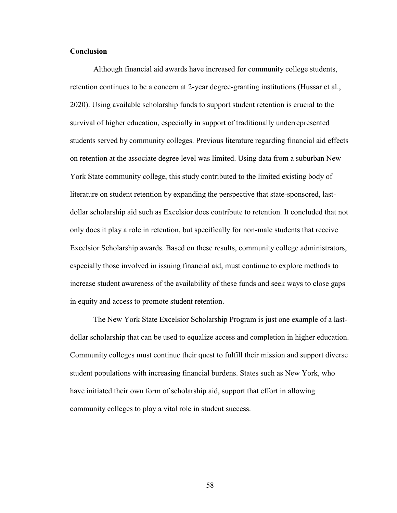# **Conclusion**

Although financial aid awards have increased for community college students, retention continues to be a concern at 2-year degree-granting institutions (Hussar et al., 2020). Using available scholarship funds to support student retention is crucial to the survival of higher education, especially in support of traditionally underrepresented students served by community colleges. Previous literature regarding financial aid effects on retention at the associate degree level was limited. Using data from a suburban New York State community college, this study contributed to the limited existing body of literature on student retention by expanding the perspective that state-sponsored, lastdollar scholarship aid such as Excelsior does contribute to retention. It concluded that not only does it play a role in retention, but specifically for non-male students that receive Excelsior Scholarship awards. Based on these results, community college administrators, especially those involved in issuing financial aid, must continue to explore methods to increase student awareness of the availability of these funds and seek ways to close gaps in equity and access to promote student retention.

The New York State Excelsior Scholarship Program is just one example of a lastdollar scholarship that can be used to equalize access and completion in higher education. Community colleges must continue their quest to fulfill their mission and support diverse student populations with increasing financial burdens. States such as New York, who have initiated their own form of scholarship aid, support that effort in allowing community colleges to play a vital role in student success.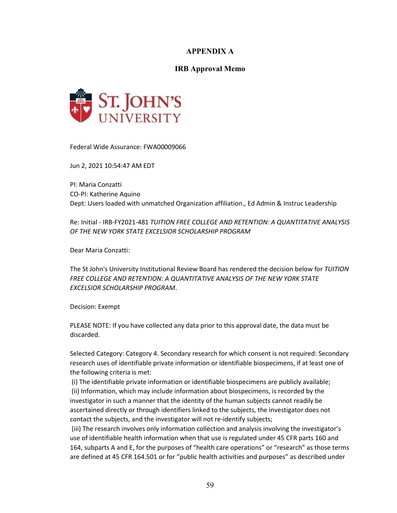# **APPENDIX A**

# **IRB Approval Memo**



Federal Wide Assurance: FWA00009066

Jun 2, 2021 10:54:47 AM EDT

PI: Maria Conzatti CO-PI: Katherine Aquino Dept: Users loaded with unmatched Organization affiliation., Ed Admin & Instruc Leadership

Re: Initial - IRB-FY2021-481 *TUITION FREE COLLEGE AND RETENTION: A QUANTITATIVE ANALYSIS OF THE NEW YORK STATE EXCELSIOR SCHOLARSHIP PROGRAM*

Dear Maria Conzatti:

The St John's University Institutional Review Board has rendered the decision below for *TUITION FREE COLLEGE AND RETENTION: A QUANTITATIVE ANALYSIS OF THE NEW YORK STATE EXCELSIOR SCHOLARSHIP PROGRAM*.

Decision: Exempt

PLEASE NOTE: If you have collected any data prior to this approval date, the data must be discarded.

Selected Category: Category 4. Secondary research for which consent is not required: Secondary research uses of identifiable private information or identifiable biospecimens, if at least one of the following criteria is met:

(i) The identifiable private information or identifiable biospecimens are publicly available; (ii) Information, which may include information about biospecimens, is recorded by the investigator in such a manner that the identity of the human subjects cannot readily be ascertained directly or through identifiers linked to the subjects, the investigator does not contact the subjects, and the investigator will not re-identify subjects;

(iii) The research involves only information collection and analysis involving the investigator's use of identifiable health information when that use is regulated under 45 CFR parts 160 and 164, subparts A and E, for the purposes of "health care operations" or "research" as those terms are defined at 45 CFR 164.501 or for "public health activities and purposes" as described under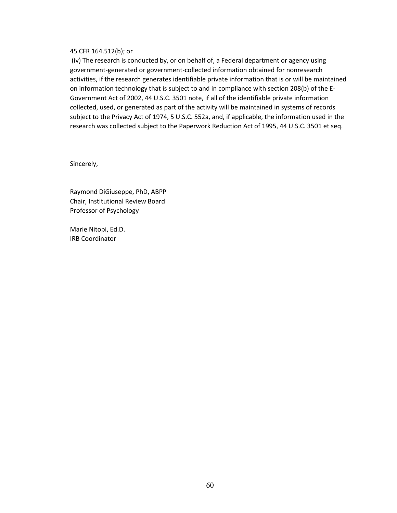#### 45 CFR 164.512(b); or

(iv) The research is conducted by, or on behalf of, a Federal department or agency using government-generated or government-collected information obtained for nonresearch activities, if the research generates identifiable private information that is or will be maintained on information technology that is subject to and in compliance with section 208(b) of the E-Government Act of 2002, 44 U.S.C. 3501 note, if all of the identifiable private information collected, used, or generated as part of the activity will be maintained in systems of records subject to the Privacy Act of 1974, 5 U.S.C. 552a, and, if applicable, the information used in the research was collected subject to the Paperwork Reduction Act of 1995, 44 U.S.C. 3501 et seq.

Sincerely,

Raymond DiGiuseppe, PhD, ABPP Chair, Institutional Review Board Professor of Psychology

Marie Nitopi, Ed.D. IRB Coordinator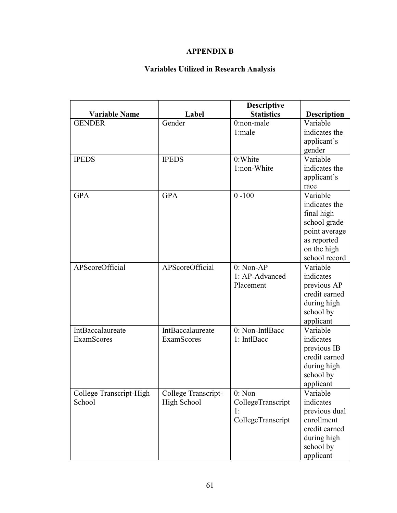# **APPENDIX B**

# **Variables Utilized in Research Analysis**

|                         |                        | <b>Descriptive</b>      |                             |
|-------------------------|------------------------|-------------------------|-----------------------------|
| <b>Variable Name</b>    | Label                  | <b>Statistics</b>       | <b>Description</b>          |
| <b>GENDER</b>           | Gender                 | $0:$ non-male           | Variable                    |
|                         |                        | 1:male                  | indicates the               |
|                         |                        |                         | applicant's                 |
|                         |                        |                         | gender                      |
| <b>IPEDS</b>            | <b>IPEDS</b>           | 0:White                 | Variable                    |
|                         |                        | 1:non-White             | indicates the               |
|                         |                        |                         | applicant's                 |
|                         |                        |                         | race                        |
| <b>GPA</b>              | <b>GPA</b>             | $0 - 100$               | Variable                    |
|                         |                        |                         | indicates the               |
|                         |                        |                         | final high                  |
|                         |                        |                         | school grade                |
|                         |                        |                         | point average               |
|                         |                        |                         | as reported                 |
|                         |                        |                         | on the high                 |
|                         |                        |                         | school record               |
| APScoreOfficial         | <b>APScoreOfficial</b> | $0: Non-AP$             | Variable                    |
|                         |                        | 1: AP-Advanced          | indicates                   |
|                         |                        | Placement               | previous AP                 |
|                         |                        |                         | credit earned               |
|                         |                        |                         | during high                 |
|                         |                        |                         | school by                   |
|                         |                        |                         | applicant                   |
| <b>IntBaccalaureate</b> | IntBaccalaureate       | 0: Non-IntlBacc         | Variable                    |
| <b>ExamScores</b>       | <b>ExamScores</b>      | 1: IntlBacc             | indicates                   |
|                         |                        |                         | previous IB                 |
|                         |                        |                         | credit earned               |
|                         |                        |                         | during high                 |
|                         |                        |                         | school by                   |
|                         |                        |                         | applicant                   |
| College Transcript-High | College Transcript-    | 0: Non                  | Variable                    |
| School                  | High School            | CollegeTranscript       | indicates                   |
|                         |                        | 1:<br>CollegeTranscript | previous dual<br>enrollment |
|                         |                        |                         | credit earned               |
|                         |                        |                         | during high                 |
|                         |                        |                         |                             |
|                         |                        |                         | school by                   |
|                         |                        |                         | applicant                   |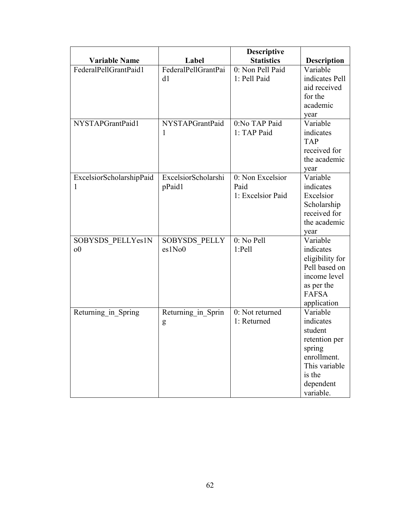|                          |                     | <b>Descriptive</b> |                    |
|--------------------------|---------------------|--------------------|--------------------|
| <b>Variable Name</b>     | Label               | <b>Statistics</b>  | <b>Description</b> |
| FederalPellGrantPaid1    | FederalPellGrantPai | 0: Non Pell Paid   | Variable           |
|                          | d1                  | 1: Pell Paid       | indicates Pell     |
|                          |                     |                    | aid received       |
|                          |                     |                    | for the            |
|                          |                     |                    | academic           |
|                          |                     |                    | year               |
| NYSTAPGrantPaid1         | NYSTAPGrantPaid     | 0:No TAP Paid      | Variable           |
|                          | 1                   | 1: TAP Paid        | indicates          |
|                          |                     |                    | <b>TAP</b>         |
|                          |                     |                    | received for       |
|                          |                     |                    | the academic       |
|                          |                     |                    | year               |
| ExcelsiorScholarshipPaid | ExcelsiorScholarshi | 0: Non Excelsior   | Variable           |
| 1                        | pPaid1              | Paid               | indicates          |
|                          |                     | 1: Excelsior Paid  | Excelsior          |
|                          |                     |                    | Scholarship        |
|                          |                     |                    | received for       |
|                          |                     |                    | the academic       |
|                          |                     |                    | year               |
| SOBYSDS PELLYes1N        | SOBYSDS PELLY       | 0: No Pell         | Variable           |
| 0 <sup>0</sup>           | es1No0              | $1:$ Pell          | indicates          |
|                          |                     |                    | eligibility for    |
|                          |                     |                    | Pell based on      |
|                          |                     |                    | income level       |
|                          |                     |                    | as per the         |
|                          |                     |                    | <b>FAFSA</b>       |
|                          |                     |                    | application        |
| Returning in Spring      | Returning in Sprin  | 0: Not returned    | Variable           |
|                          | g                   | 1: Returned        | indicates          |
|                          |                     |                    | student            |
|                          |                     |                    | retention per      |
|                          |                     |                    | spring             |
|                          |                     |                    | enrollment.        |
|                          |                     |                    | This variable      |
|                          |                     |                    | is the             |
|                          |                     |                    | dependent          |
|                          |                     |                    | variable.          |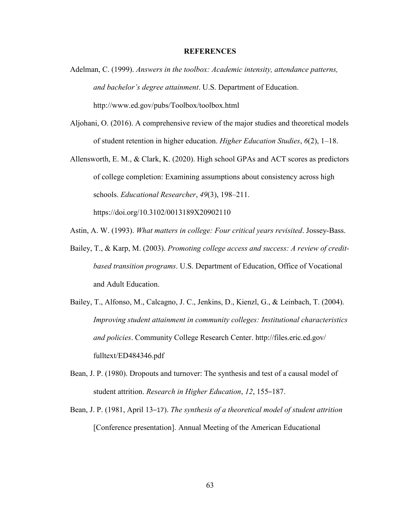#### **REFERENCES**

- Adelman, C. (1999). *Answers in the toolbox: Academic intensity, attendance patterns, and bachelor's degree attainment*. U.S. Department of Education. http://www.ed.gov/pubs/Toolbox/toolbox.html
- Aljohani, O. (2016). A comprehensive review of the major studies and theoretical models of student retention in higher education. *Higher Education Studies*, *6*(2), 1–18.
- Allensworth, E. M., & Clark, K. (2020). High school GPAs and ACT scores as predictors of college completion: Examining assumptions about consistency across high schools. *Educational Researcher*, *49*(3), 198–211. https://doi.org/10.3102/0013189X20902110
- Astin, A. W. (1993). *What matters in college: Four critical years revisited*. Jossey-Bass.
- Bailey, T., & Karp, M. (2003). *Promoting college access and success: A review of creditbased transition programs*. U.S. Department of Education, Office of Vocational and Adult Education.
- Bailey, T., Alfonso, M., Calcagno, J. C., Jenkins, D., Kienzl, G., & Leinbach, T. (2004). *Improving student attainment in community colleges: Institutional characteristics and policies*. Community College Research Center. http://files.eric.ed.gov/ fulltext/ED484346.pdf
- Bean, J. P. (1980). Dropouts and turnover: The synthesis and test of a causal model of student attrition. *Research in Higher Education*, *12*, 155–187.
- Bean, J. P. (1981, April 13–17). *The synthesis of a theoretical model of student attrition* [Conference presentation]. Annual Meeting of the American Educational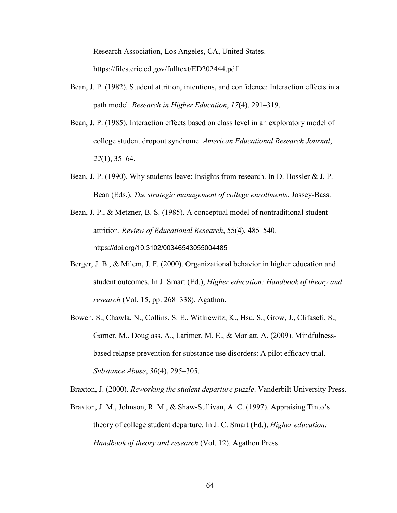Research Association, Los Angeles, CA, United States.

https://files.eric.ed.gov/fulltext/ED202444.pdf

- Bean, J. P. (1982). Student attrition, intentions, and confidence: Interaction effects in a path model. *Research in Higher Education*, *17*(4), 291–319.
- Bean, J. P. (1985). Interaction effects based on class level in an exploratory model of college student dropout syndrome. *American Educational Research Journal*, *22*(1), 35–64.
- Bean, J. P. (1990). Why students leave: Insights from research. In D. Hossler & J. P. Bean (Eds.), *The strategic management of college enrollments*. Jossey-Bass.
- Bean, J. P., & Metzner, B. S. (1985). A conceptual model of nontraditional student attrition. *Review of Educational Research*, 55(4), 485–540. https://doi.org/10.3102/00346543055004485
- Berger, J. B., & Milem, J. F. (2000). Organizational behavior in higher education and student outcomes. In J. Smart (Ed.), *Higher education: Handbook of theory and research* (Vol. 15, pp. 268–338). Agathon.
- Bowen, S., Chawla, N., Collins, S. E., Witkiewitz, K., Hsu, S., Grow, J., Clifasefi, S., Garner, M., Douglass, A., Larimer, M. E., & Marlatt, A. (2009). Mindfulnessbased relapse prevention for substance use disorders: A pilot efficacy trial. *Substance Abuse*, *30*(4), 295–305.

Braxton, J. (2000). *Reworking the student departure puzzle*. Vanderbilt University Press.

Braxton, J. M., Johnson, R. M., & Shaw-Sullivan, A. C. (1997). Appraising Tinto's theory of college student departure. In J. C. Smart (Ed.), *Higher education: Handbook of theory and research* (Vol. 12). Agathon Press.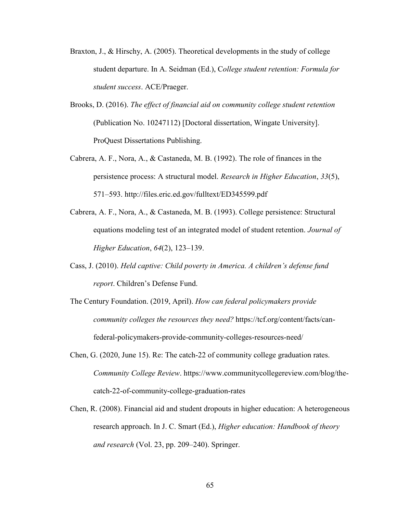- Braxton, J., & Hirschy, A. (2005). Theoretical developments in the study of college student departure. In A. Seidman (Ed.), C*ollege student retention: Formula for student success*. ACE/Praeger.
- Brooks, D. (2016). *The effect of financial aid on community college student retention* (Publication No. 10247112) [Doctoral dissertation, Wingate University]. ProQuest Dissertations Publishing.
- Cabrera, A. F., Nora, A., & Castaneda, M. B. (1992). The role of finances in the persistence process: A structural model. *Research in Higher Education*, *33*(5), 571–593. http://files.eric.ed.gov/fulltext/ED345599.pdf
- Cabrera, A. F., Nora, A., & Castaneda, M. B. (1993). College persistence: Structural equations modeling test of an integrated model of student retention. *Journal of Higher Education*, *64*(2), 123–139.
- Cass, J. (2010). *Held captive: Child poverty in America. A children's defense fund report*. Children's Defense Fund.
- The Century Foundation. (2019, April). *How can federal policymakers provide community colleges the resources they need?* https://tcf.org/content/facts/canfederal-policymakers-provide-community-colleges-resources-need/
- Chen, G. (2020, June 15). Re: The catch-22 of community college graduation rates. *Community College Review*. https://www.communitycollegereview.com/blog/thecatch-22-of-community-college-graduation-rates
- Chen, R. (2008). Financial aid and student dropouts in higher education: A heterogeneous research approach. In J. C. Smart (Ed.), *Higher education: Handbook of theory and research* (Vol. 23, pp. 209–240). Springer.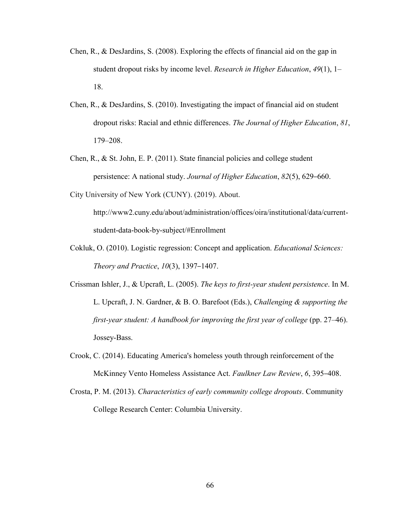- Chen, R., & DesJardins, S. (2008). Exploring the effects of financial aid on the gap in student dropout risks by income level. *Research in Higher Education*, *49*(1), 1– 18.
- Chen, R., & DesJardins, S. (2010). Investigating the impact of financial aid on student dropout risks: Racial and ethnic differences. *The Journal of Higher Education*, *81*, 179–208.
- Chen, R., & St. John, E. P. (2011). State financial policies and college student persistence: A national study. *Journal of Higher Education*, *82*(5), 629–660.

City University of New York (CUNY). (2019). About.

http://www2.cuny.edu/about/administration/offices/oira/institutional/data/currentstudent-data-book-by-subject/#Enrollment

- Cokluk, O. (2010). Logistic regression: Concept and application. *Educational Sciences: Theory and Practice*, *10*(3), 1397–1407.
- Crissman Ishler, J., & Upcraft, L. (2005). *The keys to first-year student persistence*. In M. L. Upcraft, J. N. Gardner, & B. O. Barefoot (Eds.), *Challenging & supporting the first-year student: A handbook for improving the first year of college (pp. 27–46).* Jossey-Bass.
- Crook, C. (2014). Educating America's homeless youth through reinforcement of the McKinney Vento Homeless Assistance Act. *Faulkner Law Review*, *6*, 395–408.
- Crosta, P. M. (2013). *Characteristics of early community college dropouts*. Community College Research Center: Columbia University.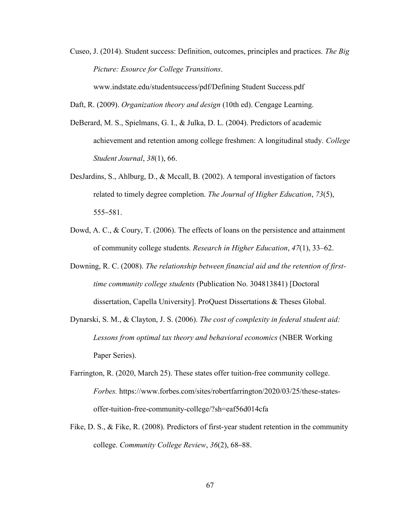Cuseo, J. (2014). Student success: Definition, outcomes, principles and practices. *The Big Picture: Esource for College Transitions*.

www.indstate.edu/studentsuccess/pdf/Defining Student Success.pdf

Daft, R. (2009). *Organization theory and design* (10th ed). Cengage Learning.

- DeBerard, M. S., Spielmans, G. I., & Julka, D. L. (2004). Predictors of academic achievement and retention among college freshmen: A longitudinal study. *College Student Journal*, *38*(1), 66.
- DesJardins, S., Ahlburg, D., & Mccall, B. (2002). A temporal investigation of factors related to timely degree completion. *The Journal of Higher Education*, *73*(5), 555–581.
- Dowd, A. C., & Coury, T. (2006). The effects of loans on the persistence and attainment of community college students. *Research in Higher Education*, *47*(1), 33–62.
- Downing, R. C. (2008). *The relationship between financial aid and the retention of firsttime community college students* (Publication No. 304813841) [Doctoral dissertation, Capella University]. ProQuest Dissertations & Theses Global.
- Dynarski, S. M., & Clayton, J. S. (2006). *The cost of complexity in federal student aid: Lessons from optimal tax theory and behavioral economics* (NBER Working Paper Series).
- Farrington, R. (2020, March 25). These states offer tuition-free community college. *Forbes.* https://www.forbes.com/sites/robertfarrington/2020/03/25/these-statesoffer-tuition-free-community-college/?sh=eaf56d014cfa
- Fike, D. S., & Fike, R. (2008). Predictors of first-year student retention in the community college. *Community College Review*, *36*(2), 68–88.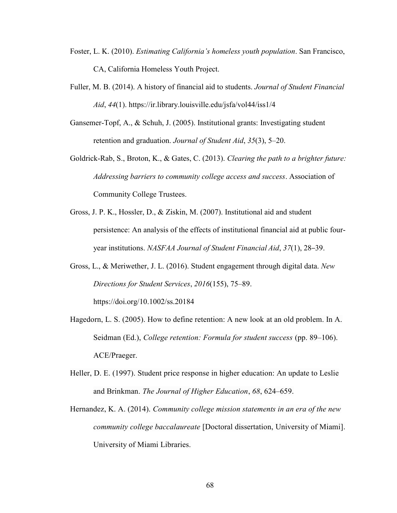- Foster, L. K. (2010). *Estimating California's homeless youth population*. San Francisco, CA, California Homeless Youth Project.
- Fuller, M. B. (2014). A history of financial aid to students. *Journal of Student Financial Aid*, *44*(1). https://ir.library.louisville.edu/jsfa/vol44/iss1/4
- Gansemer-Topf, A., & Schuh, J. (2005). Institutional grants: Investigating student retention and graduation. *Journal of Student Aid*, *35*(3), 5–20.
- Goldrick-Rab, S., Broton, K., & Gates, C. (2013). *Clearing the path to a brighter future: Addressing barriers to community college access and success*. Association of Community College Trustees.
- Gross, J. P. K., Hossler, D., & Ziskin, M. (2007). Institutional aid and student persistence: An analysis of the effects of institutional financial aid at public fouryear institutions. *NASFAA Journal of Student Financial Aid*, *37*(1), 28–39.
- Gross, L., & Meriwether, J. L. (2016). Student engagement through digital data. *New Directions for Student Services*, *2016*(155), 75–89. https://doi.org/10.1002/ss.20184
- Hagedorn, L. S. (2005). How to define retention: A new look at an old problem. In A. Seidman (Ed.), *College retention: Formula for student success* (pp. 89–106). ACE/Praeger.
- Heller, D. E. (1997). Student price response in higher education: An update to Leslie and Brinkman. *The Journal of Higher Education*, *68*, 624–659.
- Hernandez, K. A. (2014). *Community college mission statements in an era of the new community college baccalaureate* [Doctoral dissertation, University of Miami]. University of Miami Libraries.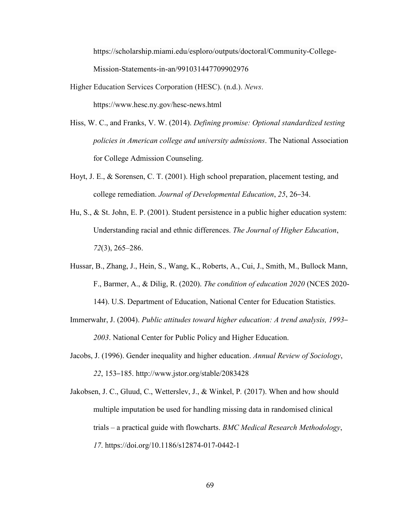https://scholarship.miami.edu/esploro/outputs/doctoral/Community-College-Mission-Statements-in-an/991031447709902976

Higher Education Services Corporation (HESC). (n.d.). *News*.

https://www.hesc.ny.gov/hesc-news.html

- Hiss, W. C., and Franks, V. W. (2014). *Defining promise: Optional standardized testing policies in American college and university admissions*. The National Association for College Admission Counseling.
- Hoyt, J. E., & Sorensen, C. T. (2001). High school preparation, placement testing, and college remediation. *Journal of Developmental Education*, *25*, 26–34.
- Hu, S., & St. John, E. P. (2001). Student persistence in a public higher education system: Understanding racial and ethnic differences. *The Journal of Higher Education*, *72*(3), 265–286.
- Hussar, B., Zhang, J., Hein, S., Wang, K., Roberts, A., Cui, J., Smith, M., Bullock Mann, F., Barmer, A., & Dilig, R. (2020). *The condition of education 2020* (NCES 2020- 144). U.S. Department of Education, National Center for Education Statistics.
- Immerwahr, J. (2004). *[Public attitudes toward higher education: A trend analysis, 1993](http://www.highereducation.org/reports/pubatt/) [2003](http://www.highereducation.org/reports/pubatt/)*. National Center for Public Policy and Higher Education.
- Jacobs, J. (1996). Gender inequality and higher education. *Annual Review of Sociology*, *22*, 153–185. http://www.jstor.org/stable/2083428
- Jakobsen, J. C., Gluud, C., Wetterslev, J., & Winkel, P*.* (2017). When and how should multiple imputation be used for handling missing data in randomised clinical trials – a practical guide with flowcharts. *BMC Medical Research Methodology*, *17*. https://doi.org/10.1186/s12874-017-0442-1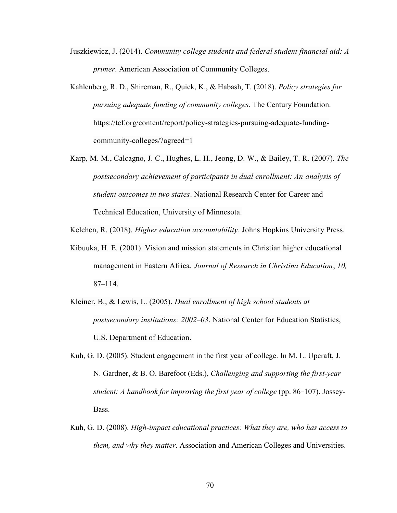- Juszkiewicz, J. (2014). *Community college students and federal student financial aid: A primer*. American Association of Community Colleges.
- Kahlenberg, R. D., Shireman, R., Quick, K., & Habash, T. (2018). *Policy strategies for pursuing adequate funding of community colleges*. The Century Foundation. https://tcf.org/content/report/policy-strategies-pursuing-adequate-fundingcommunity-colleges/?agreed=1
- Karp, M. M., Calcagno, J. C., Hughes, L. H., Jeong, D. W., & Bailey, T. R. (2007). *The postsecondary achievement of participants in dual enrollment: An analysis of student outcomes in two states*. National Research Center for Career and Technical Education, University of Minnesota.
- Kelchen, R. (2018). *Higher education accountability*. Johns Hopkins University Press.
- Kibuuka, H. E. (2001). Vision and mission statements in Christian higher educational management in Eastern Africa. *Journal of Research in Christina Education*, *10,* 87–114.
- Kleiner, B., & Lewis, L. (2005). *Dual enrollment of high school students at postsecondary institutions: 2002–03*. National Center for Education Statistics, U.S. Department of Education.
- Kuh, G. D. (2005). Student engagement in the first year of college. In M. L. Upcraft, J. N. Gardner, & B. O. Barefoot (Eds.), *Challenging and supporting the first-year student: A handbook for improving the first year of college* (pp. 86–107). Jossey-Bass.
- Kuh, G. D. (2008). *High-impact educational practices: What they are, who has access to them, and why they matter*. Association and American Colleges and Universities.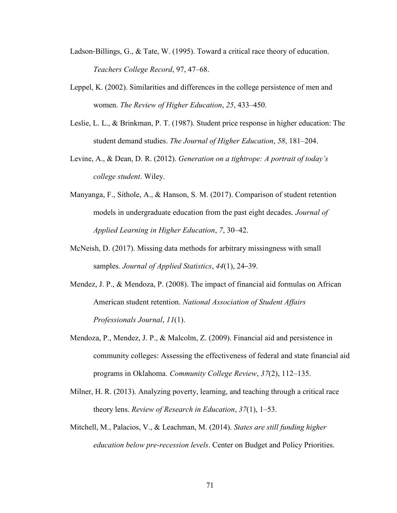- Ladson‐Billings, G., & Tate, W. (1995). Toward a critical race theory of education. *Teachers College Record*, 97, 47–68.
- Leppel, K. (2002). Similarities and differences in the college persistence of men and women. *The Review of Higher Education*, *25*, 433–450.
- Leslie, L. L., & Brinkman, P. T. (1987). Student price response in higher education: The student demand studies. *The Journal of Higher Education*, *58*, 181–204.
- Levine, A., & Dean, D. R. (2012). *Generation on a tightrope: A portrait of today's college student*. Wiley.
- Manyanga, F., Sithole, A., & Hanson, S. M. (2017). Comparison of student retention models in undergraduate education from the past eight decades. *Journal of Applied Learning in Higher Education*, *7*, 30–42.
- McNeish, D. (2017). Missing data methods for arbitrary missingness with small samples. *Journal of Applied Statistics*, *44*(1), 24–39.
- Mendez, J. P., & Mendoza, P. (2008). The impact of financial aid formulas on African American student retention. *National Association of Student Affairs Professionals Journal*, *11*(1).
- Mendoza, P., Mendez, J. P., & Malcolm, Z. (2009). Financial aid and persistence in community colleges: Assessing the effectiveness of federal and state financial aid programs in Oklahoma. *Community College Review*, *37*(2), 112–135.
- Milner, H. R. (2013). Analyzing poverty, learning, and teaching through a critical race theory lens. *Review of Research in Education*, *37*(1), 1–53.
- Mitchell, M., Palacios, V., & Leachman, M. (2014). *States are still funding higher education below pre-recession levels*. Center on Budget and Policy Priorities.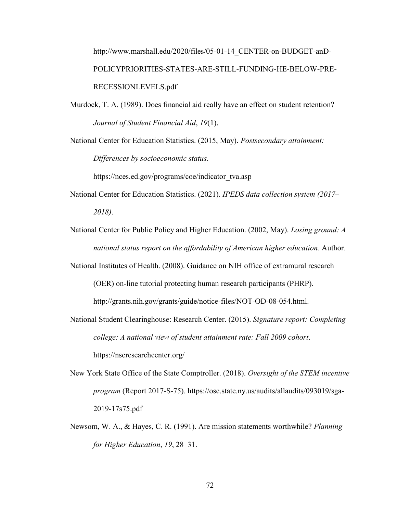http://www.marshall.edu/2020/files/05-01-14\_CENTER-on-BUDGET-anD-POLICYPRIORITIES-STATES-ARE-STILL-FUNDING-HE-BELOW-PRE-RECESSIONLEVELS.pdf

Murdock, T. A. (1989). Does financial aid really have an effect on student retention? *Journal of Student Financial Aid*, *19*(1).

National Center for Education Statistics. (2015, May). *Postsecondary attainment: Differences by socioeconomic status*.

https://nces.ed.gov/programs/coe/indicator\_tva.asp

- National Center for Education Statistics. (2021). *IPEDS data collection system (2017– 2018)*.
- National Center for Public Policy and Higher Education. (2002, May). *Losing ground: A national status report on the affordability of American higher education*. Author.

National Institutes of Health. (2008). Guidance on NIH office of extramural research

(OER) on-line tutorial protecting human research participants (PHRP).

http://grants.nih.gov/grants/guide/notice-files/NOT-OD-08-054.html.

- National Student Clearinghouse: Research Center. (2015). *Signature report: Completing college: A national view of student attainment rate: Fall 2009 cohort*. https://nscresearchcenter.org/
- New York State Office of the State Comptroller. (2018). *Oversight of the STEM incentive program* (Report 2017-S-75). https://osc.state.ny.us/audits/allaudits/093019/sga-2019-17s75.pdf
- Newsom, W. A., & Hayes, C. R. (1991). Are mission statements worthwhile? *Planning for Higher Education*, *19*, 28–31.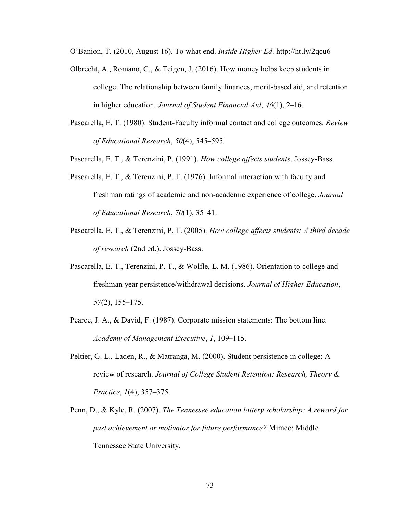O'Banion, T. (2010, August 16). To what end. *Inside Higher Ed*. http://ht.ly/2qcu6

- Olbrecht, A., Romano, C., & Teigen, J. (2016). How money helps keep students in college: The relationship between family finances, merit-based aid, and retention in higher education. *Journal of Student Financial Aid*, *46*(1), 2–16.
- Pascarella, E. T. (1980). Student-Faculty informal contact and college outcomes. *Review of Educational Research*, *50*(4), 545–595.
- Pascarella, E. T., & Terenzini, P. (1991). *How college affects students*. Jossey-Bass.
- Pascarella, E. T., & Terenzini, P. T. (1976). Informal interaction with faculty and freshman ratings of academic and non-academic experience of college. *Journal of Educational Research*, *70*(1), 35–41.
- Pascarella, E. T., & Terenzini, P. T. (2005). *How college affects students: A third decade of research* (2nd ed.). Jossey-Bass.
- Pascarella, E. T., Terenzini, P. T., & Wolfle, L. M. (1986). Orientation to college and freshman year persistence/withdrawal decisions. *Journal of Higher Education*, *57*(2), 155–175.
- Pearce, J. A., & David, F. (1987). Corporate mission statements: The bottom line. *Academy of Management Executive*, *1*, 109–115.
- Peltier, G. L., Laden, R., & Matranga, M. (2000). Student persistence in college: A review of research. *Journal of College Student Retention: Research, Theory & Practice*, *1*(4), 357–375.
- Penn, D., & Kyle, R. (2007). *The Tennessee education lottery scholarship: A reward for past achievement or motivator for future performance?* Mimeo: Middle Tennessee State University.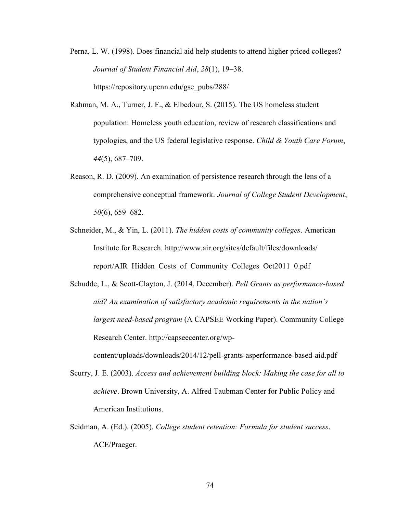- Perna, L. W. (1998). Does financial aid help students to attend higher priced colleges? *Journal of Student Financial Aid*, *28*(1), 19–38. https://repository.upenn.edu/gse\_pubs/288/
- Rahman, M. A., Turner, J. F., & Elbedour, S. (2015). The US homeless student population: Homeless youth education, review of research classifications and typologies, and the US federal legislative response. *Child & Youth Care Forum*, *44*(5), 687–709.
- Reason, R. D. (2009). An examination of persistence research through the lens of a comprehensive conceptual framework. *Journal of College Student Development*, *50*(6), 659–682.
- Schneider, M., & Yin, L. (2011). *The hidden costs of community colleges*. American Institute for Research. http://www.air.org/sites/default/files/downloads/ report/AIR\_Hidden\_Costs\_of\_Community\_Colleges\_Oct2011\_0.pdf
- Schudde, L., & Scott-Clayton, J. (2014, December). *Pell Grants as performance-based aid? An examination of satisfactory academic requirements in the nation's largest need-based program* (A CAPSEE Working Paper). Community College Research Center. http://capseecenter.org/wp-

content/uploads/downloads/2014/12/pell-grants-asperformance-based-aid.pdf

- Scurry, J. E. (2003). *Access and achievement building block: Making the case for all to achieve*. Brown University, A. Alfred Taubman Center for Public Policy and American Institutions.
- Seidman, A. (Ed.). (2005). *College student retention: Formula for student success*. ACE/Praeger.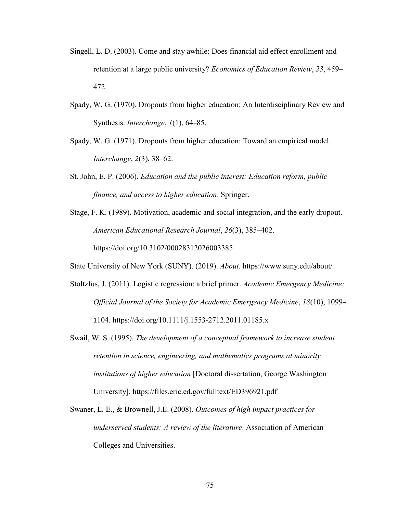- Singell, L. D. (2003). Come and stay awhile: Does financial aid effect enrollment and retention at a large public university? *Economics of Education Review*, *23*, 459– 472.
- Spady, W. G. (1970). Dropouts from higher education: An Interdisciplinary Review and Synthesis. *Interchange*, *1*(1), 64–85.
- Spady, W. G. (1971). Dropouts from higher education: Toward an empirical model. *Interchange*, *2*(3), 38–62.
- St. John, E. P. (2006). *Education and the public interest: Education reform, public finance, and access to higher education*. Springer.
- Stage, F. K. (1989). Motivation, academic and social integration, and the early dropout. *American Educational Research Journal*, *26*(3), 385–402. https://doi.org/10.3102/00028312026003385

State University of New York (SUNY). (2019). *About*. https://www.suny.edu/about/

- Stoltzfus, J. (2011). Logistic regression: a brief primer. *Academic Emergency Medicine: Official Journal of the Society for Academic Emergency Medicine*, *18*(10), 1099– 1104. https://doi.org/10.1111/j.1553-2712.2011.01185.x
- Swail, W. S. (1995). *The development of a conceptual framework to increase student retention in science, engineering, and mathematics programs at minority institutions of higher education* [Doctoral dissertation, George Washington University]. https://files.eric.ed.gov/fulltext/ED396921.pdf
- Swaner, L. E., & Brownell, J.E. (2008). *Outcomes of high impact practices for underserved students: A review of the literature*. Association of American Colleges and Universities.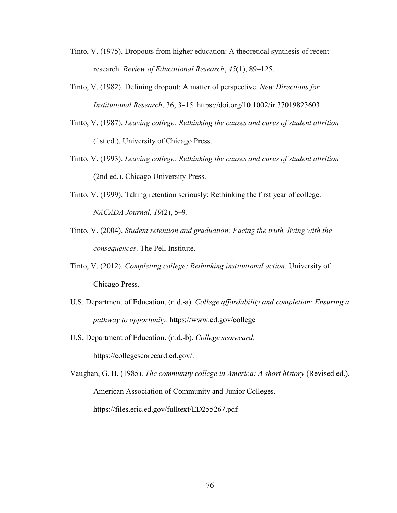- Tinto, V. (1975). Dropouts from higher education: A theoretical synthesis of recent research. *Review of Educational Research*, *45*(1), 89–125.
- Tinto, V. (1982). Defining dropout: A matter of perspective. *New Directions for Institutional Research*, 36, 3–15. https://doi.org/10.1002/ir.37019823603
- Tinto, V. (1987). *Leaving college: Rethinking the causes and cures of student attrition*  (1st ed.). University of Chicago Press.
- Tinto, V. (1993). *Leaving college: Rethinking the causes and cures of student attrition*  (2nd ed.). Chicago University Press.
- Tinto, V. (1999). Taking retention seriously: Rethinking the first year of college. *NACADA Journal*, *19*(2), 5–9.
- Tinto, V. (2004). *Student retention and graduation: Facing the truth, living with the consequences*. The Pell Institute.
- Tinto, V. (2012). *Completing college: Rethinking institutional action*. University of Chicago Press.
- U.S. Department of Education. (n.d.-a). *College affordability and completion: Ensuring a pathway to opportunity*. https://www.ed.gov/college
- U.S. Department of Education. (n.d.-b). *College scorecard*. https://collegescorecard.ed.gov/.
- Vaughan, G. B. (1985). *The community college in America: A short history* (Revised ed.). American Association of Community and Junior Colleges. https://files.eric.ed.gov/fulltext/ED255267.pdf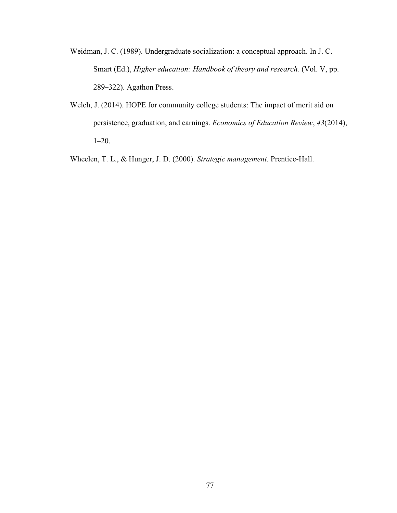Weidman, J. C. (1989). Undergraduate socialization: a conceptual approach. In J. C. Smart (Ed.), *Higher education: Handbook of theory and research.* (Vol. V, pp. 289–322). Agathon Press.

Welch, J. (2014). HOPE for community college students: The impact of merit aid on persistence, graduation, and earnings. *Economics of Education Review*, *43*(2014), 1–20.

Wheelen, T. L., & Hunger, J. D. (2000). *Strategic management*. Prentice-Hall.